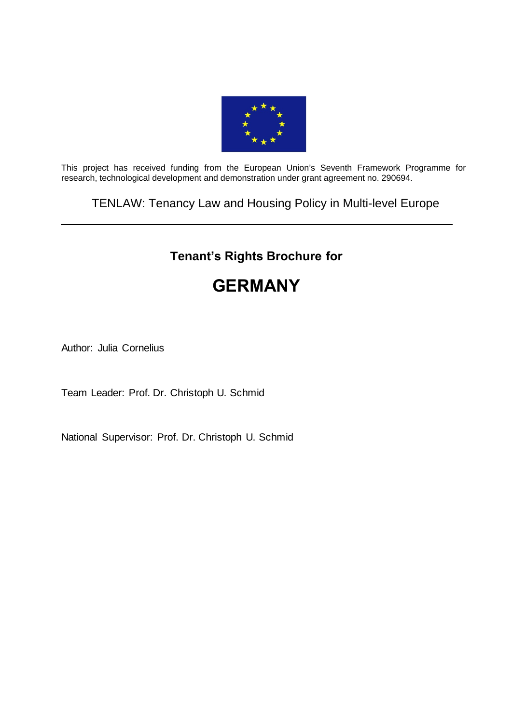

This project has received funding from the European Union's Seventh Framework Programme for research, technological development and demonstration under grant agreement no. 290694.

TENLAW: Tenancy Law and Housing Policy in Multi-level Europe

# **Tenant's Rights Brochure for**

# **GERMANY**

Author: Julia Cornelius

Team Leader: Prof. Dr. Christoph U. Schmid

National Supervisor: Prof. Dr. Christoph U. Schmid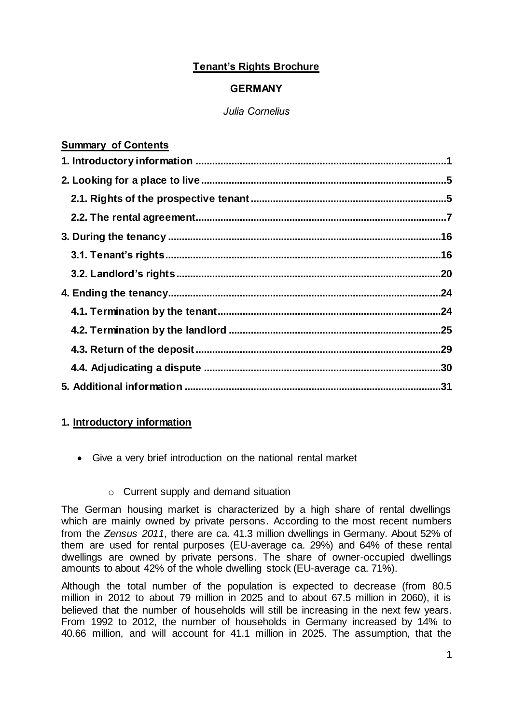# **Tenant's Rights Brochure**

# **GERMANY**

# *Julia Cornelius*

# **Summary of Contents**

# **1. Introductory information**

Give a very brief introduction on the national rental market

# o Current supply and demand situation

The German housing market is characterized by a high share of rental dwellings which are mainly owned by private persons. According to the most recent numbers from the *Zensus 2011*, there are ca. 41.3 million dwellings in Germany. About 52% of them are used for rental purposes (EU-average ca. 29%) and 64% of these rental dwellings are owned by private persons. The share of owner-occupied dwellings amounts to about 42% of the whole dwelling stock (EU-average ca. 71%).

Although the total number of the population is expected to decrease (from 80.5 million in 2012 to about 79 million in 2025 and to about 67.5 million in 2060), it is believed that the number of households will still be increasing in the next few years. From 1992 to 2012, the number of households in Germany increased by 14% to 40.66 million, and will account for 41.1 million in 2025. The assumption, that the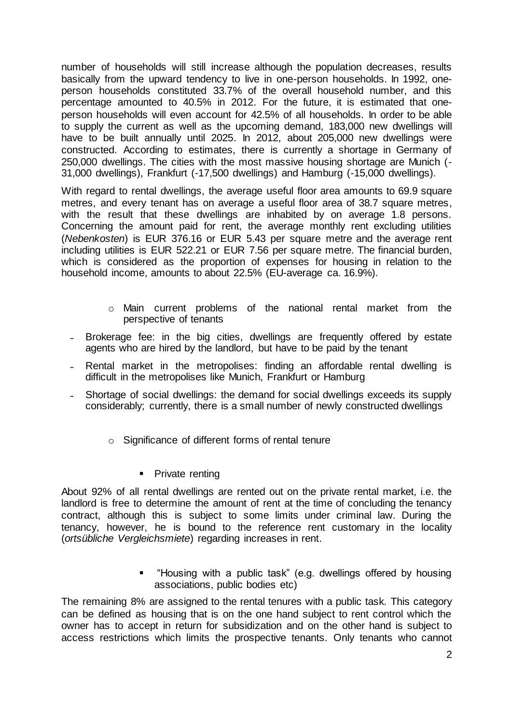number of households will still increase although the population decreases, results basically from the upward tendency to live in one-person households. In 1992, oneperson households constituted 33.7% of the overall household number, and this percentage amounted to 40.5% in 2012. For the future, it is estimated that oneperson households will even account for 42.5% of all households. In order to be able to supply the current as well as the upcoming demand, 183,000 new dwellings will have to be built annually until 2025. In 2012, about 205,000 new dwellings were constructed. According to estimates, there is currently a shortage in Germany of 250,000 dwellings. The cities with the most massive housing shortage are Munich (- 31,000 dwellings), Frankfurt (-17,500 dwellings) and Hamburg (-15,000 dwellings).

With regard to rental dwellings, the average useful floor area amounts to 69.9 square metres, and every tenant has on average a useful floor area of 38.7 square metres, with the result that these dwellings are inhabited by on average 1.8 persons. Concerning the amount paid for rent, the average monthly rent excluding utilities (*Nebenkosten*) is EUR 376.16 or EUR 5.43 per square metre and the average rent including utilities is EUR 522.21 or EUR 7.56 per square metre. The financial burden, which is considered as the proportion of expenses for housing in relation to the household income, amounts to about 22.5% (EU-average ca. 16.9%).

- o Main current problems of the national rental market from the perspective of tenants
- Brokerage fee: in the big cities, dwellings are frequently offered by estate agents who are hired by the landlord, but have to be paid by the tenant
- Rental market in the metropolises: finding an affordable rental dwelling is difficult in the metropolises like Munich, Frankfurt or Hamburg
- Shortage of social dwellings: the demand for social dwellings exceeds its supply considerably; currently, there is a small number of newly constructed dwellings
	- o Significance of different forms of rental tenure
		- Private renting

About 92% of all rental dwellings are rented out on the private rental market, i.e. the landlord is free to determine the amount of rent at the time of concluding the tenancy contract, although this is subject to some limits under criminal law. During the tenancy, however, he is bound to the reference rent customary in the locality (*ortsübliche Vergleichsmiete*) regarding increases in rent.

> "Housing with a public task" (e.g. dwellings offered by housing associations, public bodies etc)

The remaining 8% are assigned to the rental tenures with a public task. This category can be defined as housing that is on the one hand subject to rent control which the owner has to accept in return for subsidization and on the other hand is subject to access restrictions which limits the prospective tenants. Only tenants who cannot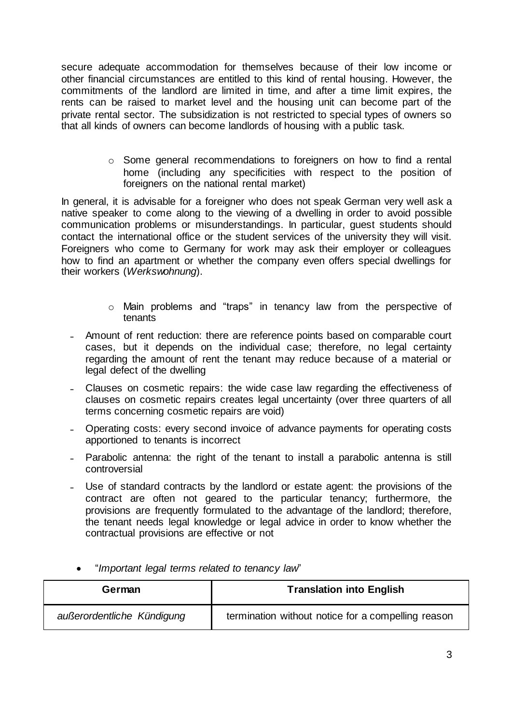secure adequate accommodation for themselves because of their low income or other financial circumstances are entitled to this kind of rental housing. However, the commitments of the landlord are limited in time, and after a time limit expires, the rents can be raised to market level and the housing unit can become part of the private rental sector. The subsidization is not restricted to special types of owners so that all kinds of owners can become landlords of housing with a public task.

> o Some general recommendations to foreigners on how to find a rental home (including any specificities with respect to the position of foreigners on the national rental market)

In general, it is advisable for a foreigner who does not speak German very well ask a native speaker to come along to the viewing of a dwelling in order to avoid possible communication problems or misunderstandings. In particular, guest students should contact the international office or the student services of the university they will visit. Foreigners who come to Germany for work may ask their employer or colleagues how to find an apartment or whether the company even offers special dwellings for their workers (*Werkswohnung*).

- o Main problems and "traps" in tenancy law from the perspective of tenants
- Amount of rent reduction: there are reference points based on comparable court cases, but it depends on the individual case; therefore, no legal certainty regarding the amount of rent the tenant may reduce because of a material or legal defect of the dwelling
- ˗ Clauses on cosmetic repairs: the wide case law regarding the effectiveness of clauses on cosmetic repairs creates legal uncertainty (over three quarters of all terms concerning cosmetic repairs are void)
- Operating costs: every second invoice of advance payments for operating costs apportioned to tenants is incorrect
- ˗ Parabolic antenna: the right of the tenant to install a parabolic antenna is still controversial
- Use of standard contracts by the landlord or estate agent: the provisions of the contract are often not geared to the particular tenancy; furthermore, the provisions are frequently formulated to the advantage of the landlord; therefore, the tenant needs legal knowledge or legal advice in order to know whether the contractual provisions are effective or not

| German                     | <b>Translation into English</b>                    |
|----------------------------|----------------------------------------------------|
| außerordentliche Kündigung | termination without notice for a compelling reason |

"*Important legal terms related to tenancy law*"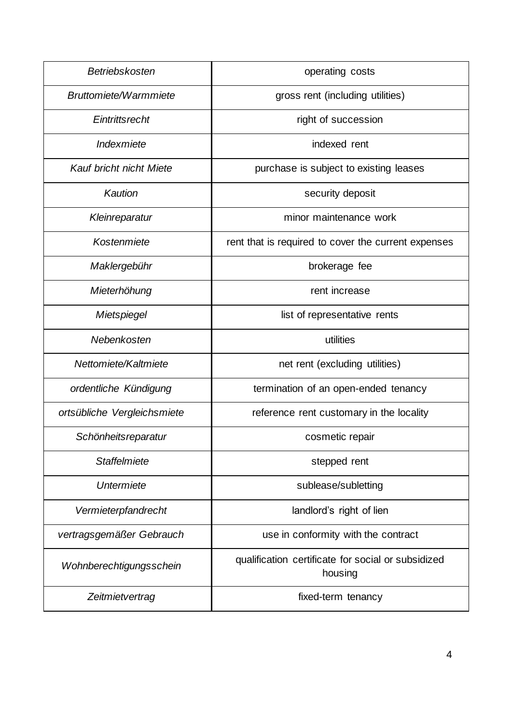| Betriebskosten              | operating costs                                               |
|-----------------------------|---------------------------------------------------------------|
| Bruttomiete/Warmmiete       | gross rent (including utilities)                              |
| Eintrittsrecht              | right of succession                                           |
| Indexmiete                  | indexed rent                                                  |
| Kauf bricht nicht Miete     | purchase is subject to existing leases                        |
| Kaution                     | security deposit                                              |
| Kleinreparatur              | minor maintenance work                                        |
| Kostenmiete                 | rent that is required to cover the current expenses           |
| Maklergebühr                | brokerage fee                                                 |
| Mieterhöhung                | rent increase                                                 |
| Mietspiegel                 | list of representative rents                                  |
| Nebenkosten                 | utilities                                                     |
| Nettomiete/Kaltmiete        | net rent (excluding utilities)                                |
| ordentliche Kündigung       | termination of an open-ended tenancy                          |
| ortsübliche Vergleichsmiete | reference rent customary in the locality                      |
| Schönheitsreparatur         | cosmetic repair                                               |
| Staffelmiete                | stepped rent                                                  |
| Untermiete                  | sublease/subletting                                           |
| Vermieterpfandrecht         | landlord's right of lien                                      |
| vertragsgemäßer Gebrauch    | use in conformity with the contract                           |
| Wohnberechtigungsschein     | qualification certificate for social or subsidized<br>housing |
| Zeitmietvertrag             | fixed-term tenancy                                            |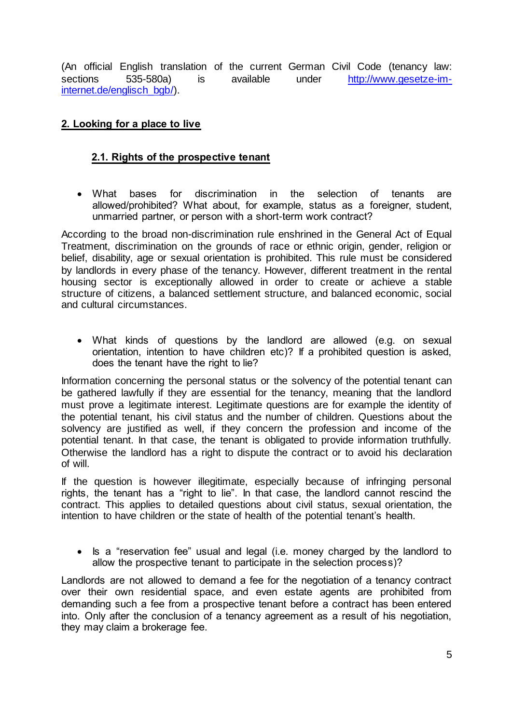(An official English translation of the current German Civil Code (tenancy law: sections 535-580a) is available under [http://www.gesetze-im](http://www.gesetze-im-internet.de/englisch_bgb/)[internet.de/englisch\\_bgb/\).](http://www.gesetze-im-internet.de/englisch_bgb/)

# **2. Looking for a place to live**

# **2.1. Rights of the prospective tenant**

 What bases for discrimination in the selection of tenants are allowed/prohibited? What about, for example, status as a foreigner, student, unmarried partner, or person with a short-term work contract?

According to the broad non-discrimination rule enshrined in the General Act of Equal Treatment, discrimination on the grounds of race or ethnic origin, gender, religion or belief, disability, age or sexual orientation is prohibited. This rule must be considered by landlords in every phase of the tenancy. However, different treatment in the rental housing sector is exceptionally allowed in order to create or achieve a stable structure of citizens, a balanced settlement structure, and balanced economic, social and cultural circumstances.

 What kinds of questions by the landlord are allowed (e.g. on sexual orientation, intention to have children etc)? If a prohibited question is asked, does the tenant have the right to lie?

Information concerning the personal status or the solvency of the potential tenant can be gathered lawfully if they are essential for the tenancy, meaning that the landlord must prove a legitimate interest. Legitimate questions are for example the identity of the potential tenant, his civil status and the number of children. Questions about the solvency are justified as well, if they concern the profession and income of the potential tenant. In that case, the tenant is obligated to provide information truthfully. Otherwise the landlord has a right to dispute the contract or to avoid his declaration of will.

If the question is however illegitimate, especially because of infringing personal rights, the tenant has a "right to lie". In that case, the landlord cannot rescind the contract. This applies to detailed questions about civil status, sexual orientation, the intention to have children or the state of health of the potential tenant's health.

• Is a "reservation fee" usual and legal (i.e. money charged by the landlord to allow the prospective tenant to participate in the selection process)?

Landlords are not allowed to demand a fee for the negotiation of a tenancy contract over their own residential space, and even estate agents are prohibited from demanding such a fee from a prospective tenant before a contract has been entered into. Only after the conclusion of a tenancy agreement as a result of his negotiation, they may claim a brokerage fee.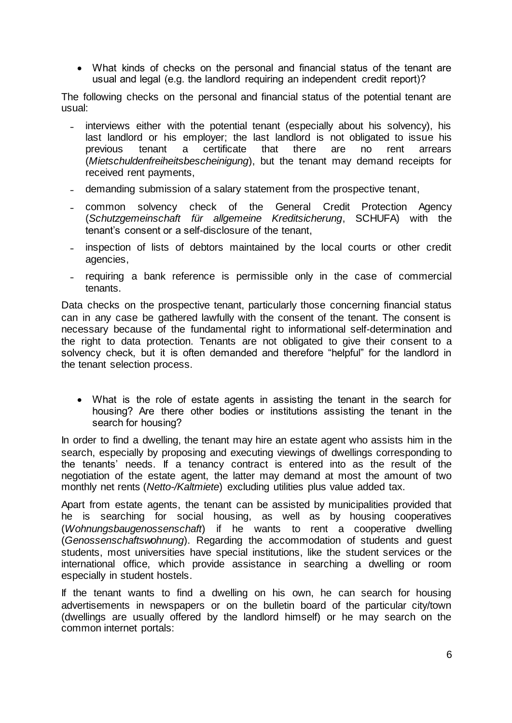What kinds of checks on the personal and financial status of the tenant are usual and legal (e.g. the landlord requiring an independent credit report)?

The following checks on the personal and financial status of the potential tenant are usual:

- interviews either with the potential tenant (especially about his solvency), his last landlord or his employer; the last landlord is not obligated to issue his previous tenant a certificate that there are no rent arrears (*Mietschuldenfreiheitsbescheinigung*), but the tenant may demand receipts for received rent payments,
- demanding submission of a salary statement from the prospective tenant,
- common solvency check of the General Credit Protection Agency (*Schutzgemeinschaft für allgemeine Kreditsicherung*, SCHUFA) with the tenant's consent or a self-disclosure of the tenant,
- inspection of lists of debtors maintained by the local courts or other credit agencies,
- requiring a bank reference is permissible only in the case of commercial tenants.

Data checks on the prospective tenant, particularly those concerning financial status can in any case be gathered lawfully with the consent of the tenant. The consent is necessary because of the fundamental right to informational self-determination and the right to data protection. Tenants are not obligated to give their consent to a solvency check, but it is often demanded and therefore "helpful" for the landlord in the tenant selection process.

 What is the role of estate agents in assisting the tenant in the search for housing? Are there other bodies or institutions assisting the tenant in the search for housing?

In order to find a dwelling, the tenant may hire an estate agent who assists him in the search, especially by proposing and executing viewings of dwellings corresponding to the tenants' needs. If a tenancy contract is entered into as the result of the negotiation of the estate agent, the latter may demand at most the amount of two monthly net rents (*Netto-/Kaltmiete*) excluding utilities plus value added tax.

Apart from estate agents, the tenant can be assisted by municipalities provided that he is searching for social housing, as well as by housing cooperatives (*Wohnungsbaugenossenschaft*) if he wants to rent a cooperative dwelling (*Genossenschaftswohnung*). Regarding the accommodation of students and guest students, most universities have special institutions, like the student services or the international office, which provide assistance in searching a dwelling or room especially in student hostels.

If the tenant wants to find a dwelling on his own, he can search for housing advertisements in newspapers or on the bulletin board of the particular city/town (dwellings are usually offered by the landlord himself) or he may search on the common internet portals: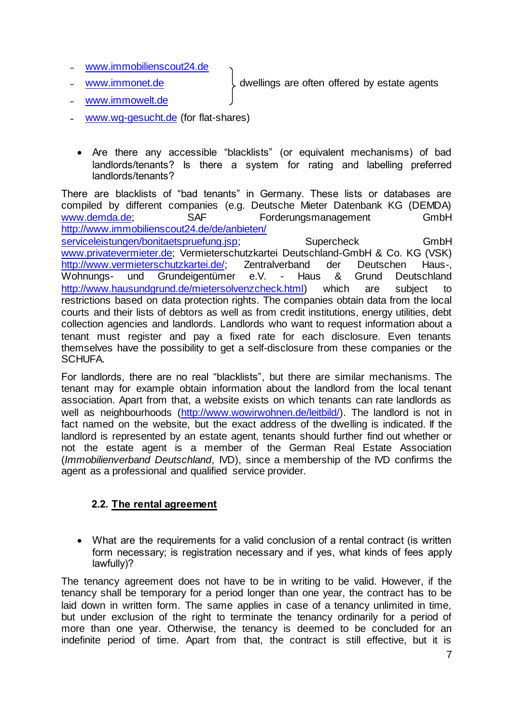- ˗ [www.immobilienscout24.de](http://www.immobilienscout24.de/)
- 

[www.immonet.de](http://www.immonet.de/)  $\downarrow$  dwellings are often offered by estate agents

- [www.immowelt.de](http://www.immowelt.de/)
- [www.wg-gesucht.de](http://www.wg-gesucht.de/) (for flat-shares)
- Are there any accessible "blacklists" (or equivalent mechanisms) of bad landlords/tenants? Is there a system for rating and labelling preferred landlords/tenants?

There are blacklists of "bad tenants" in Germany. These lists or databases are compiled by different companies (e.g. Deutsche Mieter Datenbank KG (DEMDA) [www.demda.de;](http://www.demda.de/) SAF Forderungsmanagement GmbH [http://www.immobilienscout24.de/de/anbieten/](http://www.immobilienscout24.de/de/anbieten/%20serviceleistungen/bonitaetspruefung.jsp) 

[serviceleistungen/bonitaetspruefung.jsp;](http://www.immobilienscout24.de/de/anbieten/%20serviceleistungen/bonitaetspruefung.jsp) Supercheck GmbH [www.privatevermieter.de;](http://www.privatevermieter.de/) Vermieterschutzkartei Deutschland-GmbH & Co. KG (VSK) [http://www.vermieterschutzkartei.de/;](http://www.vermieterschutzkartei.de/) Zentralverband der Deutschen Haus-, Wohnungs- und Grundeigentümer e.V. - Haus & Grund Deutschland [http://www.hausundgrund.de/mietersolvenzcheck.html\)](http://www.hausundgrund.de/mietersolvenzcheck.html) which are subject to restrictions based on data protection rights. The companies obtain data from the local courts and their lists of debtors as well as from credit institutions, energy utilities, debt collection agencies and landlords. Landlords who want to request information about a tenant must register and pay a fixed rate for each disclosure. Even tenants themselves have the possibility to get a self-disclosure from these companies or the SCHUFA.

For landlords, there are no real "blacklists", but there are similar mechanisms. The tenant may for example obtain information about the landlord from the local tenant association. Apart from that, a website exists on which tenants can rate landlords as well as neighbourhoods [\(http://www.wowirwohnen.de/leitbild/\).](http://www.wowirwohnen.de/leitbild/) The landlord is not in fact named on the website, but the exact address of the dwelling is indicated. If the landlord is represented by an estate agent, tenants should further find out whether or not the estate agent is a member of the German Real Estate Association (*Immobilienverband Deutschland*, IVD), since a membership of the IVD confirms the agent as a professional and qualified service provider.

# **2.2. The rental agreement**

 What are the requirements for a valid conclusion of a rental contract (is written form necessary; is registration necessary and if yes, what kinds of fees apply lawfully)?

The tenancy agreement does not have to be in writing to be valid. However, if the tenancy shall be temporary for a period longer than one year, the contract has to be laid down in written form. The same applies in case of a tenancy unlimited in time, but under exclusion of the right to terminate the tenancy ordinarily for a period of more than one year. Otherwise, the tenancy is deemed to be concluded for an indefinite period of time. Apart from that, the contract is still effective, but it is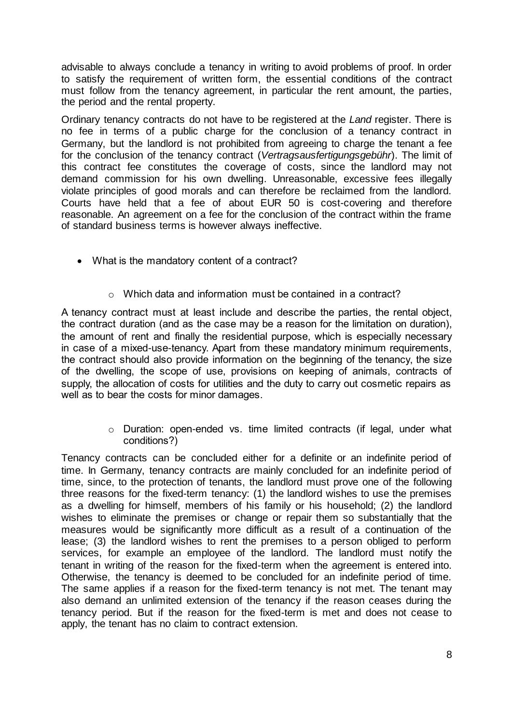advisable to always conclude a tenancy in writing to avoid problems of proof. In order to satisfy the requirement of written form, the essential conditions of the contract must follow from the tenancy agreement, in particular the rent amount, the parties, the period and the rental property.

Ordinary tenancy contracts do not have to be registered at the *Land* register. There is no fee in terms of a public charge for the conclusion of a tenancy contract in Germany, but the landlord is not prohibited from agreeing to charge the tenant a fee for the conclusion of the tenancy contract (*Vertragsausfertigungsgebühr*). The limit of this contract fee constitutes the coverage of costs, since the landlord may not demand commission for his own dwelling. Unreasonable, excessive fees illegally violate principles of good morals and can therefore be reclaimed from the landlord. Courts have held that a fee of about EUR 50 is cost-covering and therefore reasonable. An agreement on a fee for the conclusion of the contract within the frame of standard business terms is however always ineffective.

- What is the mandatory content of a contract?
	- o Which data and information must be contained in a contract?

A tenancy contract must at least include and describe the parties, the rental object, the contract duration (and as the case may be a reason for the limitation on duration), the amount of rent and finally the residential purpose, which is especially necessary in case of a mixed-use-tenancy. Apart from these mandatory minimum requirements, the contract should also provide information on the beginning of the tenancy, the size of the dwelling, the scope of use, provisions on keeping of animals, contracts of supply, the allocation of costs for utilities and the duty to carry out cosmetic repairs as well as to bear the costs for minor damages.

> o Duration: open-ended vs. time limited contracts (if legal, under what conditions?)

Tenancy contracts can be concluded either for a definite or an indefinite period of time. In Germany, tenancy contracts are mainly concluded for an indefinite period of time, since, to the protection of tenants, the landlord must prove one of the following three reasons for the fixed-term tenancy: (1) the landlord wishes to use the premises as a dwelling for himself, members of his family or his household; (2) the landlord wishes to eliminate the premises or change or repair them so substantially that the measures would be significantly more difficult as a result of a continuation of the lease; (3) the landlord wishes to rent the premises to a person obliged to perform services, for example an employee of the landlord. The landlord must notify the tenant in writing of the reason for the fixed-term when the agreement is entered into. Otherwise, the tenancy is deemed to be concluded for an indefinite period of time. The same applies if a reason for the fixed-term tenancy is not met. The tenant may also demand an unlimited extension of the tenancy if the reason ceases during the tenancy period. But if the reason for the fixed-term is met and does not cease to apply, the tenant has no claim to contract extension.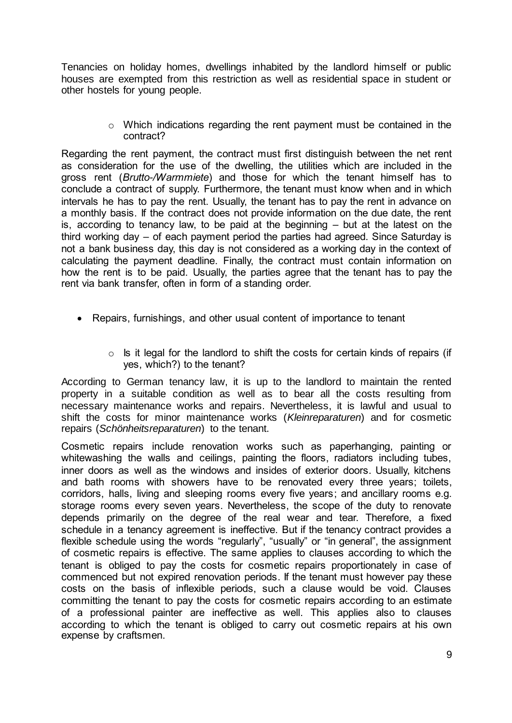Tenancies on holiday homes, dwellings inhabited by the landlord himself or public houses are exempted from this restriction as well as residential space in student or other hostels for young people.

> o Which indications regarding the rent payment must be contained in the contract?

Regarding the rent payment, the contract must first distinguish between the net rent as consideration for the use of the dwelling, the utilities which are included in the gross rent (*Brutto-/Warmmiete*) and those for which the tenant himself has to conclude a contract of supply. Furthermore, the tenant must know when and in which intervals he has to pay the rent. Usually, the tenant has to pay the rent in advance on a monthly basis. If the contract does not provide information on the due date, the rent is, according to tenancy law, to be paid at the beginning – but at the latest on the third working day – of each payment period the parties had agreed. Since Saturday is not a bank business day, this day is not considered as a working day in the context of calculating the payment deadline. Finally, the contract must contain information on how the rent is to be paid. Usually, the parties agree that the tenant has to pay the rent via bank transfer, often in form of a standing order.

- Repairs, furnishings, and other usual content of importance to tenant
	- $\circ$  Is it legal for the landlord to shift the costs for certain kinds of repairs (if yes, which?) to the tenant?

According to German tenancy law, it is up to the landlord to maintain the rented property in a suitable condition as well as to bear all the costs resulting from necessary maintenance works and repairs. Nevertheless, it is lawful and usual to shift the costs for minor maintenance works (*Kleinreparaturen*) and for cosmetic repairs (*Schönheitsreparaturen*) to the tenant.

Cosmetic repairs include renovation works such as paperhanging, painting or whitewashing the walls and ceilings, painting the floors, radiators including tubes, inner doors as well as the windows and insides of exterior doors. Usually, kitchens and bath rooms with showers have to be renovated every three years; toilets, corridors, halls, living and sleeping rooms every five years; and ancillary rooms e.g. storage rooms every seven years. Nevertheless, the scope of the duty to renovate depends primarily on the degree of the real wear and tear. Therefore, a fixed schedule in a tenancy agreement is ineffective. But if the tenancy contract provides a flexible schedule using the words "regularly", "usually" or "in general", the assignment of cosmetic repairs is effective. The same applies to clauses according to which the tenant is obliged to pay the costs for cosmetic repairs proportionately in case of commenced but not expired renovation periods. If the tenant must however pay these costs on the basis of inflexible periods, such a clause would be void. Clauses committing the tenant to pay the costs for cosmetic repairs according to an estimate of a professional painter are ineffective as well. This applies also to clauses according to which the tenant is obliged to carry out cosmetic repairs at his own expense by craftsmen.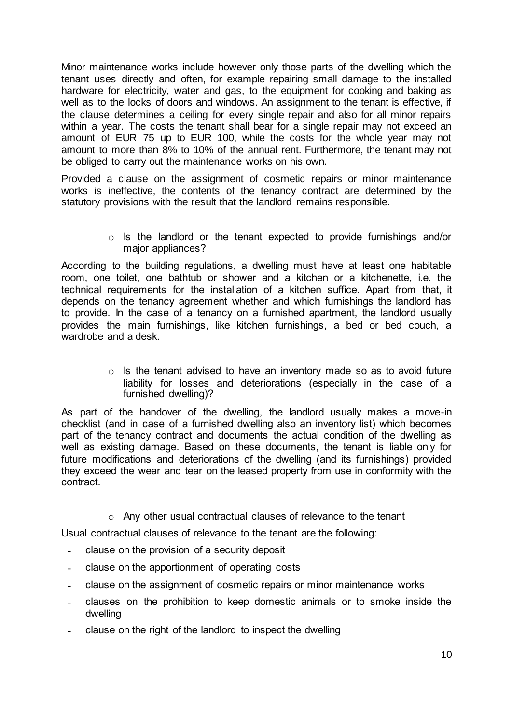Minor maintenance works include however only those parts of the dwelling which the tenant uses directly and often, for example repairing small damage to the installed hardware for electricity, water and gas, to the equipment for cooking and baking as well as to the locks of doors and windows. An assignment to the tenant is effective, if the clause determines a ceiling for every single repair and also for all minor repairs within a vear. The costs the tenant shall bear for a single repair may not exceed an amount of EUR 75 up to EUR 100, while the costs for the whole year may not amount to more than 8% to 10% of the annual rent. Furthermore, the tenant may not be obliged to carry out the maintenance works on his own.

Provided a clause on the assignment of cosmetic repairs or minor maintenance works is ineffective, the contents of the tenancy contract are determined by the statutory provisions with the result that the landlord remains responsible.

> o Is the landlord or the tenant expected to provide furnishings and/or major appliances?

According to the building regulations, a dwelling must have at least one habitable room, one toilet, one bathtub or shower and a kitchen or a kitchenette, i.e. the technical requirements for the installation of a kitchen suffice. Apart from that, it depends on the tenancy agreement whether and which furnishings the landlord has to provide. In the case of a tenancy on a furnished apartment, the landlord usually provides the main furnishings, like kitchen furnishings, a bed or bed couch, a wardrobe and a desk.

> $\circ$  Is the tenant advised to have an inventory made so as to avoid future liability for losses and deteriorations (especially in the case of a furnished dwelling)?

As part of the handover of the dwelling, the landlord usually makes a move-in checklist (and in case of a furnished dwelling also an inventory list) which becomes part of the tenancy contract and documents the actual condition of the dwelling as well as existing damage. Based on these documents, the tenant is liable only for future modifications and deteriorations of the dwelling (and its furnishings) provided they exceed the wear and tear on the leased property from use in conformity with the contract.

o Any other usual contractual clauses of relevance to the tenant

Usual contractual clauses of relevance to the tenant are the following:

- clause on the provision of a security deposit
- ˗ clause on the apportionment of operating costs
- ˗ clause on the assignment of cosmetic repairs or minor maintenance works
- ˗ clauses on the prohibition to keep domestic animals or to smoke inside the dwelling
- ˗ clause on the right of the landlord to inspect the dwelling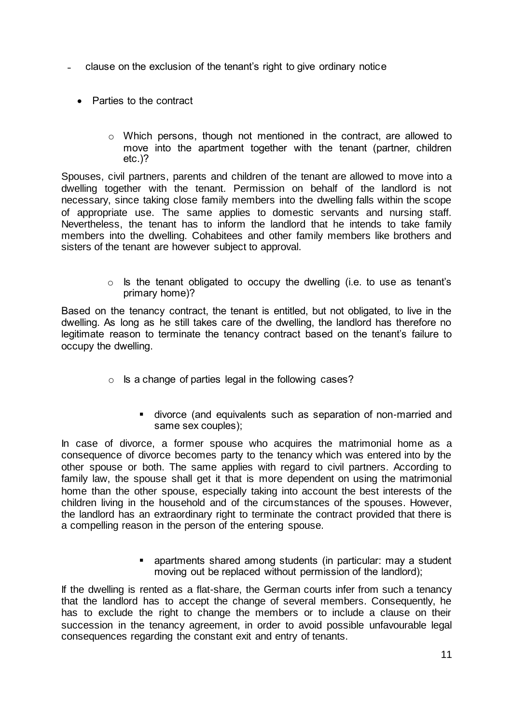- ˗ clause on the exclusion of the tenant's right to give ordinary notice
	- Parties to the contract
		- o Which persons, though not mentioned in the contract, are allowed to move into the apartment together with the tenant (partner, children etc.)?

Spouses, civil partners, parents and children of the tenant are allowed to move into a dwelling together with the tenant. Permission on behalf of the landlord is not necessary, since taking close family members into the dwelling falls within the scope of appropriate use. The same applies to domestic servants and nursing staff. Nevertheless, the tenant has to inform the landlord that he intends to take family members into the dwelling. Cohabitees and other family members like brothers and sisters of the tenant are however subject to approval.

> $\circ$  Is the tenant obligated to occupy the dwelling (i.e. to use as tenant's primary home)?

Based on the tenancy contract, the tenant is entitled, but not obligated, to live in the dwelling. As long as he still takes care of the dwelling, the landlord has therefore no legitimate reason to terminate the tenancy contract based on the tenant's failure to occupy the dwelling.

- o Is a change of parties legal in the following cases?
	- divorce (and equivalents such as separation of non-married and same sex couples);

In case of divorce, a former spouse who acquires the matrimonial home as a consequence of divorce becomes party to the tenancy which was entered into by the other spouse or both. The same applies with regard to civil partners. According to family law, the spouse shall get it that is more dependent on using the matrimonial home than the other spouse, especially taking into account the best interests of the children living in the household and of the circumstances of the spouses. However, the landlord has an extraordinary right to terminate the contract provided that there is a compelling reason in the person of the entering spouse.

> apartments shared among students (in particular: may a student moving out be replaced without permission of the landlord);

If the dwelling is rented as a flat-share, the German courts infer from such a tenancy that the landlord has to accept the change of several members. Consequently, he has to exclude the right to change the members or to include a clause on their succession in the tenancy agreement, in order to avoid possible unfavourable legal consequences regarding the constant exit and entry of tenants.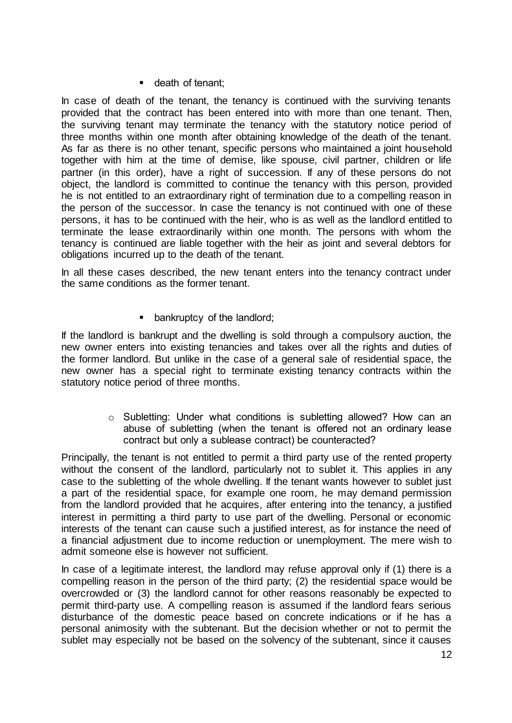#### **death of tenant;**

In case of death of the tenant, the tenancy is continued with the surviving tenants provided that the contract has been entered into with more than one tenant. Then, the surviving tenant may terminate the tenancy with the statutory notice period of three months within one month after obtaining knowledge of the death of the tenant. As far as there is no other tenant, specific persons who maintained a joint household together with him at the time of demise, like spouse, civil partner, children or life partner (in this order), have a right of succession. If any of these persons do not object, the landlord is committed to continue the tenancy with this person, provided he is not entitled to an extraordinary right of termination due to a compelling reason in the person of the successor. In case the tenancy is not continued with one of these persons, it has to be continued with the heir, who is as well as the landlord entitled to terminate the lease extraordinarily within one month. The persons with whom the tenancy is continued are liable together with the heir as joint and several debtors for obligations incurred up to the death of the tenant.

In all these cases described, the new tenant enters into the tenancy contract under the same conditions as the former tenant.

**•** bankruptcy of the landlord;

If the landlord is bankrupt and the dwelling is sold through a compulsory auction, the new owner enters into existing tenancies and takes over all the rights and duties of the former landlord. But unlike in the case of a general sale of residential space, the new owner has a special right to terminate existing tenancy contracts within the statutory notice period of three months.

> $\circ$  Subletting: Under what conditions is subletting allowed? How can an abuse of subletting (when the tenant is offered not an ordinary lease contract but only a sublease contract) be counteracted?

Principally, the tenant is not entitled to permit a third party use of the rented property without the consent of the landlord, particularly not to sublet it. This applies in any case to the subletting of the whole dwelling. If the tenant wants however to sublet just a part of the residential space, for example one room, he may demand permission from the landlord provided that he acquires, after entering into the tenancy, a justified interest in permitting a third party to use part of the dwelling. Personal or economic interests of the tenant can cause such a justified interest, as for instance the need of a financial adjustment due to income reduction or unemployment. The mere wish to admit someone else is however not sufficient.

In case of a legitimate interest, the landlord may refuse approval only if (1) there is a compelling reason in the person of the third party; (2) the residential space would be overcrowded or (3) the landlord cannot for other reasons reasonably be expected to permit third-party use. A compelling reason is assumed if the landlord fears serious disturbance of the domestic peace based on concrete indications or if he has a personal animosity with the subtenant. But the decision whether or not to permit the sublet may especially not be based on the solvency of the subtenant, since it causes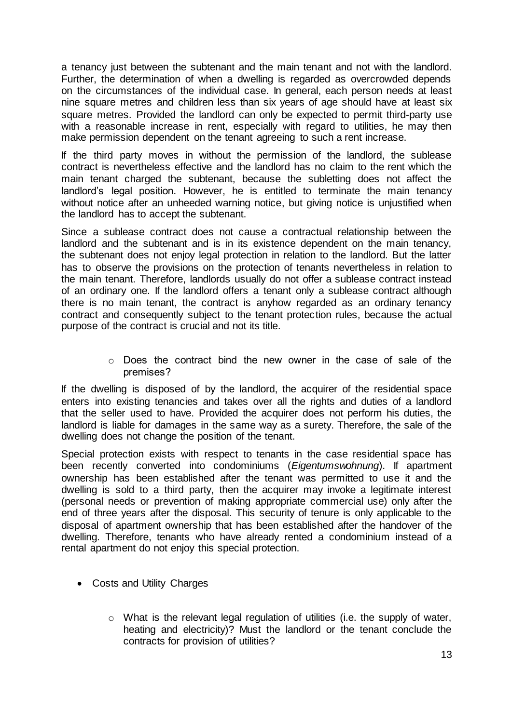a tenancy just between the subtenant and the main tenant and not with the landlord. Further, the determination of when a dwelling is regarded as overcrowded depends on the circumstances of the individual case. In general, each person needs at least nine square metres and children less than six years of age should have at least six square metres. Provided the landlord can only be expected to permit third-party use with a reasonable increase in rent, especially with regard to utilities, he may then make permission dependent on the tenant agreeing to such a rent increase.

If the third party moves in without the permission of the landlord, the sublease contract is nevertheless effective and the landlord has no claim to the rent which the main tenant charged the subtenant, because the subletting does not affect the landlord's legal position. However, he is entitled to terminate the main tenancy without notice after an unheeded warning notice, but giving notice is unjustified when the landlord has to accept the subtenant.

Since a sublease contract does not cause a contractual relationship between the landlord and the subtenant and is in its existence dependent on the main tenancy, the subtenant does not enjoy legal protection in relation to the landlord. But the latter has to observe the provisions on the protection of tenants nevertheless in relation to the main tenant. Therefore, landlords usually do not offer a sublease contract instead of an ordinary one. If the landlord offers a tenant only a sublease contract although there is no main tenant, the contract is anyhow regarded as an ordinary tenancy contract and consequently subject to the tenant protection rules, because the actual purpose of the contract is crucial and not its title.

> $\circ$  Does the contract bind the new owner in the case of sale of the premises?

If the dwelling is disposed of by the landlord, the acquirer of the residential space enters into existing tenancies and takes over all the rights and duties of a landlord that the seller used to have. Provided the acquirer does not perform his duties, the landlord is liable for damages in the same way as a surety. Therefore, the sale of the dwelling does not change the position of the tenant.

Special protection exists with respect to tenants in the case residential space has been recently converted into condominiums (*Eigentumswohnung*). If apartment ownership has been established after the tenant was permitted to use it and the dwelling is sold to a third party, then the acquirer may invoke a legitimate interest (personal needs or prevention of making appropriate commercial use) only after the end of three years after the disposal. This security of tenure is only applicable to the disposal of apartment ownership that has been established after the handover of the dwelling. Therefore, tenants who have already rented a condominium instead of a rental apartment do not enjoy this special protection.

- Costs and Utility Charges
	- o What is the relevant legal regulation of utilities (i.e. the supply of water, heating and electricity)? Must the landlord or the tenant conclude the contracts for provision of utilities?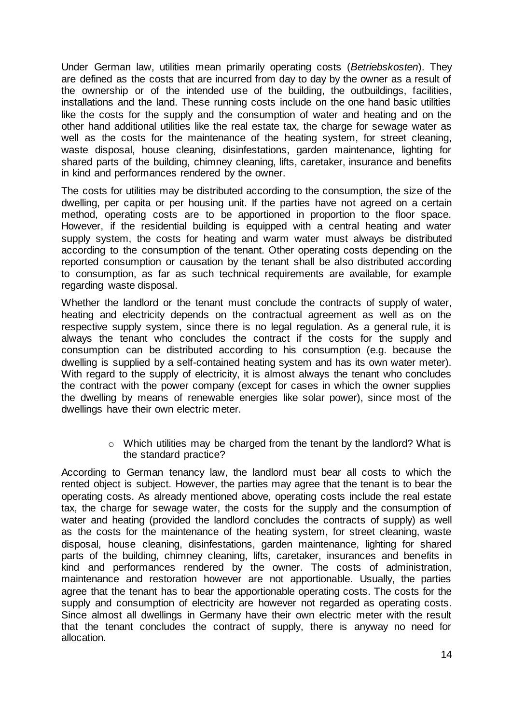Under German law, utilities mean primarily operating costs (*Betriebskosten*). They are defined as the costs that are incurred from day to day by the owner as a result of the ownership or of the intended use of the building, the outbuildings, facilities, installations and the land. These running costs include on the one hand basic utilities like the costs for the supply and the consumption of water and heating and on the other hand additional utilities like the real estate tax, the charge for sewage water as well as the costs for the maintenance of the heating system, for street cleaning, waste disposal, house cleaning, disinfestations, garden maintenance, lighting for shared parts of the building, chimney cleaning, lifts, caretaker, insurance and benefits in kind and performances rendered by the owner.

The costs for utilities may be distributed according to the consumption, the size of the dwelling, per capita or per housing unit. If the parties have not agreed on a certain method, operating costs are to be apportioned in proportion to the floor space. However, if the residential building is equipped with a central heating and water supply system, the costs for heating and warm water must always be distributed according to the consumption of the tenant. Other operating costs depending on the reported consumption or causation by the tenant shall be also distributed according to consumption, as far as such technical requirements are available, for example regarding waste disposal.

Whether the landlord or the tenant must conclude the contracts of supply of water, heating and electricity depends on the contractual agreement as well as on the respective supply system, since there is no legal regulation. As a general rule, it is always the tenant who concludes the contract if the costs for the supply and consumption can be distributed according to his consumption (e.g. because the dwelling is supplied by a self-contained heating system and has its own water meter). With regard to the supply of electricity, it is almost always the tenant who concludes the contract with the power company (except for cases in which the owner supplies the dwelling by means of renewable energies like solar power), since most of the dwellings have their own electric meter.

> o Which utilities may be charged from the tenant by the landlord? What is the standard practice?

According to German tenancy law, the landlord must bear all costs to which the rented object is subject. However, the parties may agree that the tenant is to bear the operating costs. As already mentioned above, operating costs include the real estate tax, the charge for sewage water, the costs for the supply and the consumption of water and heating (provided the landlord concludes the contracts of supply) as well as the costs for the maintenance of the heating system, for street cleaning, waste disposal, house cleaning, disinfestations, garden maintenance, lighting for shared parts of the building, chimney cleaning, lifts, caretaker, insurances and benefits in kind and performances rendered by the owner. The costs of administration, maintenance and restoration however are not apportionable. Usually, the parties agree that the tenant has to bear the apportionable operating costs. The costs for the supply and consumption of electricity are however not regarded as operating costs. Since almost all dwellings in Germany have their own electric meter with the result that the tenant concludes the contract of supply, there is anyway no need for allocation.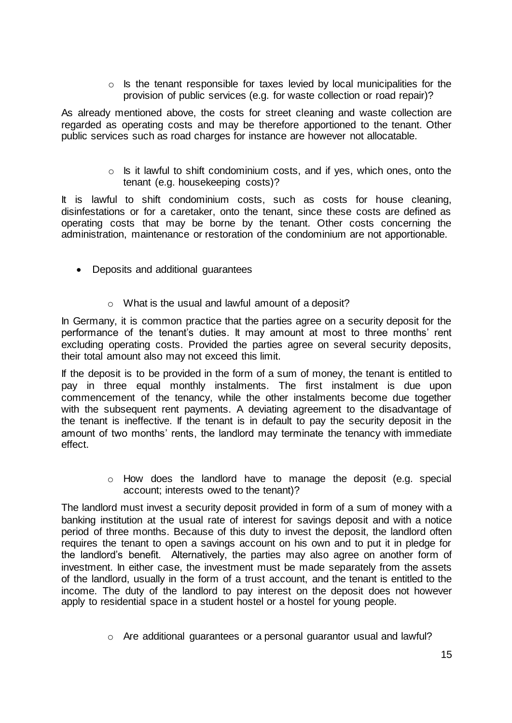$\circ$  Is the tenant responsible for taxes levied by local municipalities for the provision of public services (e.g. for waste collection or road repair)?

As already mentioned above, the costs for street cleaning and waste collection are regarded as operating costs and may be therefore apportioned to the tenant. Other public services such as road charges for instance are however not allocatable.

> $\circ$  Is it lawful to shift condominium costs, and if yes, which ones, onto the tenant (e.g. housekeeping costs)?

It is lawful to shift condominium costs, such as costs for house cleaning, disinfestations or for a caretaker, onto the tenant, since these costs are defined as operating costs that may be borne by the tenant. Other costs concerning the administration, maintenance or restoration of the condominium are not apportionable.

- Deposits and additional guarantees
	- o What is the usual and lawful amount of a deposit?

In Germany, it is common practice that the parties agree on a security deposit for the performance of the tenant's duties. It may amount at most to three months' rent excluding operating costs. Provided the parties agree on several security deposits, their total amount also may not exceed this limit.

If the deposit is to be provided in the form of a sum of money, the tenant is entitled to pay in three equal monthly instalments. The first instalment is due upon commencement of the tenancy, while the other instalments become due together with the subsequent rent payments. A deviating agreement to the disadvantage of the tenant is ineffective. If the tenant is in default to pay the security deposit in the amount of two months' rents, the landlord may terminate the tenancy with immediate effect.

> $\circ$  How does the landlord have to manage the deposit (e.g. special account; interests owed to the tenant)?

The landlord must invest a security deposit provided in form of a sum of money with a banking institution at the usual rate of interest for savings deposit and with a notice period of three months. Because of this duty to invest the deposit, the landlord often requires the tenant to open a savings account on his own and to put it in pledge for the landlord's benefit. Alternatively, the parties may also agree on another form of investment. In either case, the investment must be made separately from the assets of the landlord, usually in the form of a trust account, and the tenant is entitled to the income. The duty of the landlord to pay interest on the deposit does not however apply to residential space in a student hostel or a hostel for young people.

 $\circ$  Are additional guarantees or a personal guarantor usual and lawful?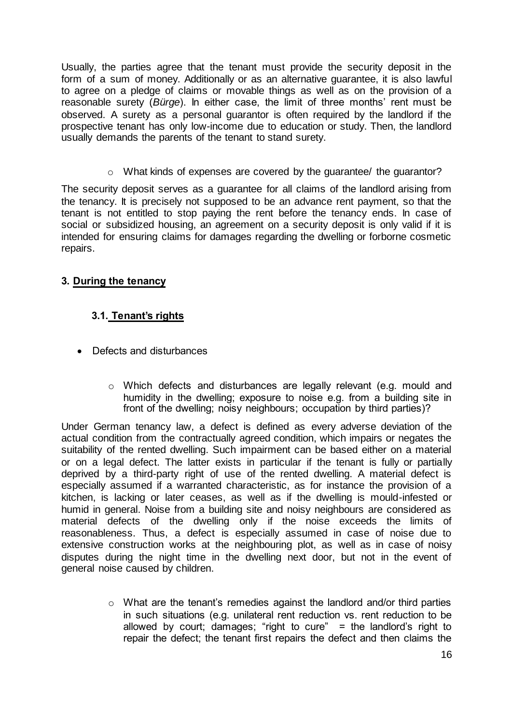Usually, the parties agree that the tenant must provide the security deposit in the form of a sum of money. Additionally or as an alternative guarantee, it is also lawful to agree on a pledge of claims or movable things as well as on the provision of a reasonable surety (*Bürge*). In either case, the limit of three months' rent must be observed. A surety as a personal guarantor is often required by the landlord if the prospective tenant has only low-income due to education or study. Then, the landlord usually demands the parents of the tenant to stand surety.

o What kinds of expenses are covered by the guarantee/ the guarantor?

The security deposit serves as a guarantee for all claims of the landlord arising from the tenancy. It is precisely not supposed to be an advance rent payment, so that the tenant is not entitled to stop paying the rent before the tenancy ends. In case of social or subsidized housing, an agreement on a security deposit is only valid if it is intended for ensuring claims for damages regarding the dwelling or forborne cosmetic repairs.

# **3. During the tenancy**

# **3.1. Tenant's rights**

- Defects and disturbances
	- o Which defects and disturbances are legally relevant (e.g. mould and humidity in the dwelling; exposure to noise e.g. from a building site in front of the dwelling; noisy neighbours; occupation by third parties)?

Under German tenancy law, a defect is defined as every adverse deviation of the actual condition from the contractually agreed condition, which impairs or negates the suitability of the rented dwelling. Such impairment can be based either on a material or on a legal defect. The latter exists in particular if the tenant is fully or partially deprived by a third-party right of use of the rented dwelling. A material defect is especially assumed if a warranted characteristic, as for instance the provision of a kitchen, is lacking or later ceases, as well as if the dwelling is mould-infested or humid in general. Noise from a building site and noisy neighbours are considered as material defects of the dwelling only if the noise exceeds the limits of reasonableness. Thus, a defect is especially assumed in case of noise due to extensive construction works at the neighbouring plot, as well as in case of noisy disputes during the night time in the dwelling next door, but not in the event of general noise caused by children.

> o What are the tenant's remedies against the landlord and/or third parties in such situations (e.g. unilateral rent reduction vs. rent reduction to be allowed by court; damages; "right to cure" = the landlord's right to repair the defect; the tenant first repairs the defect and then claims the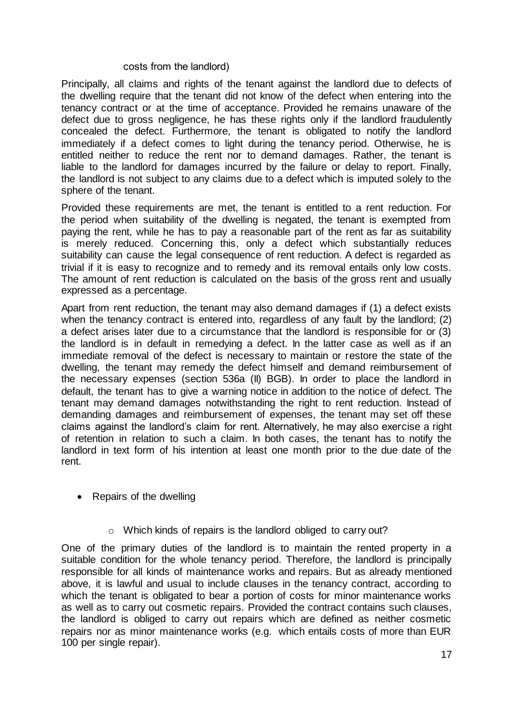#### costs from the landlord)

Principally, all claims and rights of the tenant against the landlord due to defects of the dwelling require that the tenant did not know of the defect when entering into the tenancy contract or at the time of acceptance. Provided he remains unaware of the defect due to gross negligence, he has these rights only if the landlord fraudulently concealed the defect. Furthermore, the tenant is obligated to notify the landlord immediately if a defect comes to light during the tenancy period. Otherwise, he is entitled neither to reduce the rent nor to demand damages. Rather, the tenant is liable to the landlord for damages incurred by the failure or delay to report. Finally, the landlord is not subject to any claims due to a defect which is imputed solely to the sphere of the tenant.

Provided these requirements are met, the tenant is entitled to a rent reduction. For the period when suitability of the dwelling is negated, the tenant is exempted from paying the rent, while he has to pay a reasonable part of the rent as far as suitability is merely reduced. Concerning this, only a defect which substantially reduces suitability can cause the legal consequence of rent reduction. A defect is regarded as trivial if it is easy to recognize and to remedy and its removal entails only low costs. The amount of rent reduction is calculated on the basis of the gross rent and usually expressed as a percentage.

Apart from rent reduction, the tenant may also demand damages if (1) a defect exists when the tenancy contract is entered into, regardless of any fault by the landlord; (2) a defect arises later due to a circumstance that the landlord is responsible for or (3) the landlord is in default in remedying a defect. In the latter case as well as if an immediate removal of the defect is necessary to maintain or restore the state of the dwelling, the tenant may remedy the defect himself and demand reimbursement of the necessary expenses (section 536a (II) BGB). In order to place the landlord in default, the tenant has to give a warning notice in addition to the notice of defect. The tenant may demand damages notwithstanding the right to rent reduction. Instead of demanding damages and reimbursement of expenses, the tenant may set off these claims against the landlord's claim for rent. Alternatively, he may also exercise a right of retention in relation to such a claim. In both cases, the tenant has to notify the landlord in text form of his intention at least one month prior to the due date of the rent.

- Repairs of the dwelling
	- o Which kinds of repairs is the landlord obliged to carry out?

One of the primary duties of the landlord is to maintain the rented property in a suitable condition for the whole tenancy period. Therefore, the landlord is principally responsible for all kinds of maintenance works and repairs. But as already mentioned above, it is lawful and usual to include clauses in the tenancy contract, according to which the tenant is obligated to bear a portion of costs for minor maintenance works as well as to carry out cosmetic repairs. Provided the contract contains such clauses, the landlord is obliged to carry out repairs which are defined as neither cosmetic repairs nor as minor maintenance works (e.g. which entails costs of more than EUR 100 per single repair).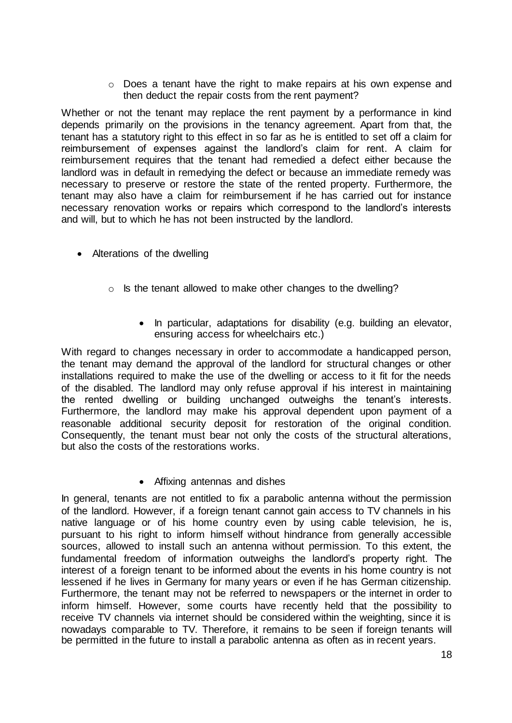$\circ$  Does a tenant have the right to make repairs at his own expense and then deduct the repair costs from the rent payment?

Whether or not the tenant may replace the rent payment by a performance in kind depends primarily on the provisions in the tenancy agreement. Apart from that, the tenant has a statutory right to this effect in so far as he is entitled to set off a claim for reimbursement of expenses against the landlord's claim for rent. A claim for reimbursement requires that the tenant had remedied a defect either because the landlord was in default in remedying the defect or because an immediate remedy was necessary to preserve or restore the state of the rented property. Furthermore, the tenant may also have a claim for reimbursement if he has carried out for instance necessary renovation works or repairs which correspond to the landlord's interests and will, but to which he has not been instructed by the landlord.

- Alterations of the dwelling
	- o Is the tenant allowed to make other changes to the dwelling?
		- In particular, adaptations for disability (e.g. building an elevator, ensuring access for wheelchairs etc.)

With regard to changes necessary in order to accommodate a handicapped person, the tenant may demand the approval of the landlord for structural changes or other installations required to make the use of the dwelling or access to it fit for the needs of the disabled. The landlord may only refuse approval if his interest in maintaining the rented dwelling or building unchanged outweighs the tenant's interests. Furthermore, the landlord may make his approval dependent upon payment of a reasonable additional security deposit for restoration of the original condition. Consequently, the tenant must bear not only the costs of the structural alterations, but also the costs of the restorations works.

#### • Affixing antennas and dishes

In general, tenants are not entitled to fix a parabolic antenna without the permission of the landlord. However, if a foreign tenant cannot gain access to TV channels in his native language or of his home country even by using cable television, he is, pursuant to his right to inform himself without hindrance from generally accessible sources, allowed to install such an antenna without permission. To this extent, the fundamental freedom of information outweighs the landlord's property right. The interest of a foreign tenant to be informed about the events in his home country is not lessened if he lives in Germany for many years or even if he has German citizenship. Furthermore, the tenant may not be referred to newspapers or the internet in order to inform himself. However, some courts have recently held that the possibility to receive TV channels via internet should be considered within the weighting, since it is nowadays comparable to TV. Therefore, it remains to be seen if foreign tenants will be permitted in the future to install a parabolic antenna as often as in recent years.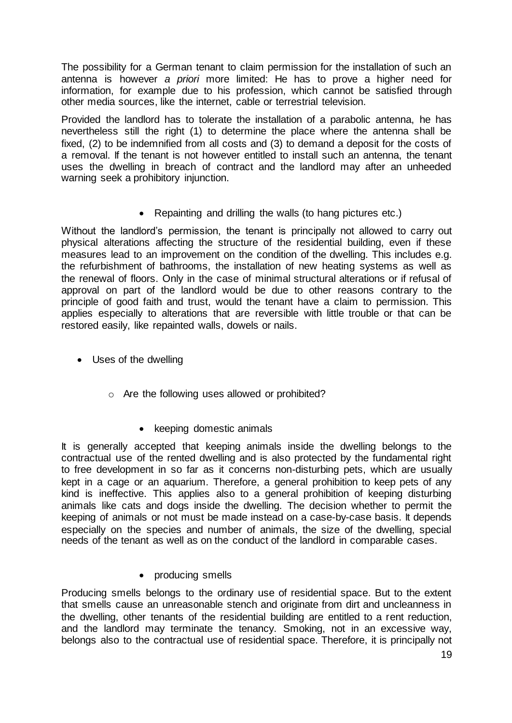The possibility for a German tenant to claim permission for the installation of such an antenna is however *a priori* more limited: He has to prove a higher need for information, for example due to his profession, which cannot be satisfied through other media sources, like the internet, cable or terrestrial television.

Provided the landlord has to tolerate the installation of a parabolic antenna, he has nevertheless still the right (1) to determine the place where the antenna shall be fixed, (2) to be indemnified from all costs and (3) to demand a deposit for the costs of a removal. If the tenant is not however entitled to install such an antenna, the tenant uses the dwelling in breach of contract and the landlord may after an unheeded warning seek a prohibitory injunction.

• Repainting and drilling the walls (to hang pictures etc.)

Without the landlord's permission, the tenant is principally not allowed to carry out physical alterations affecting the structure of the residential building, even if these measures lead to an improvement on the condition of the dwelling. This includes e.g. the refurbishment of bathrooms, the installation of new heating systems as well as the renewal of floors. Only in the case of minimal structural alterations or if refusal of approval on part of the landlord would be due to other reasons contrary to the principle of good faith and trust, would the tenant have a claim to permission. This applies especially to alterations that are reversible with little trouble or that can be restored easily, like repainted walls, dowels or nails.

- Uses of the dwelling
	- o Are the following uses allowed or prohibited?
		- keeping domestic animals

It is generally accepted that keeping animals inside the dwelling belongs to the contractual use of the rented dwelling and is also protected by the fundamental right to free development in so far as it concerns non-disturbing pets, which are usually kept in a cage or an aquarium. Therefore, a general prohibition to keep pets of any kind is ineffective. This applies also to a general prohibition of keeping disturbing animals like cats and dogs inside the dwelling. The decision whether to permit the keeping of animals or not must be made instead on a case-by-case basis. It depends especially on the species and number of animals, the size of the dwelling, special needs of the tenant as well as on the conduct of the landlord in comparable cases.

• producing smells

Producing smells belongs to the ordinary use of residential space. But to the extent that smells cause an unreasonable stench and originate from dirt and uncleanness in the dwelling, other tenants of the residential building are entitled to a rent reduction, and the landlord may terminate the tenancy. Smoking, not in an excessive way, belongs also to the contractual use of residential space. Therefore, it is principally not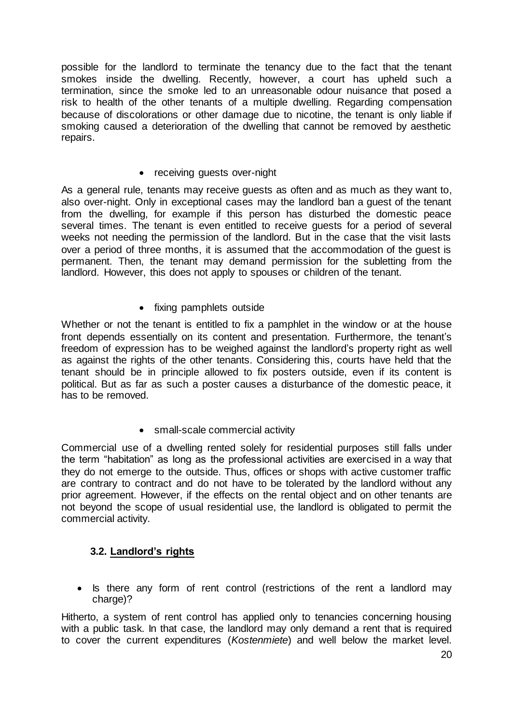possible for the landlord to terminate the tenancy due to the fact that the tenant smokes inside the dwelling. Recently, however, a court has upheld such a termination, since the smoke led to an unreasonable odour nuisance that posed a risk to health of the other tenants of a multiple dwelling. Regarding compensation because of discolorations or other damage due to nicotine, the tenant is only liable if smoking caused a deterioration of the dwelling that cannot be removed by aesthetic repairs.

• receiving guests over-night

As a general rule, tenants may receive guests as often and as much as they want to, also over-night. Only in exceptional cases may the landlord ban a guest of the tenant from the dwelling, for example if this person has disturbed the domestic peace several times. The tenant is even entitled to receive guests for a period of several weeks not needing the permission of the landlord. But in the case that the visit lasts over a period of three months, it is assumed that the accommodation of the guest is permanent. Then, the tenant may demand permission for the subletting from the landlord. However, this does not apply to spouses or children of the tenant.

• fixing pamphlets outside

Whether or not the tenant is entitled to fix a pamphlet in the window or at the house front depends essentially on its content and presentation. Furthermore, the tenant's freedom of expression has to be weighed against the landlord's property right as well as against the rights of the other tenants. Considering this, courts have held that the tenant should be in principle allowed to fix posters outside, even if its content is political. But as far as such a poster causes a disturbance of the domestic peace, it has to be removed.

• small-scale commercial activity

Commercial use of a dwelling rented solely for residential purposes still falls under the term "habitation" as long as the professional activities are exercised in a way that they do not emerge to the outside. Thus, offices or shops with active customer traffic are contrary to contract and do not have to be tolerated by the landlord without any prior agreement. However, if the effects on the rental object and on other tenants are not beyond the scope of usual residential use, the landlord is obligated to permit the commercial activity.

# **3.2. Landlord's rights**

• Is there any form of rent control (restrictions of the rent a landlord may charge)?

Hitherto, a system of rent control has applied only to tenancies concerning housing with a public task. In that case, the landlord may only demand a rent that is required to cover the current expenditures (*Kostenmiete*) and well below the market level.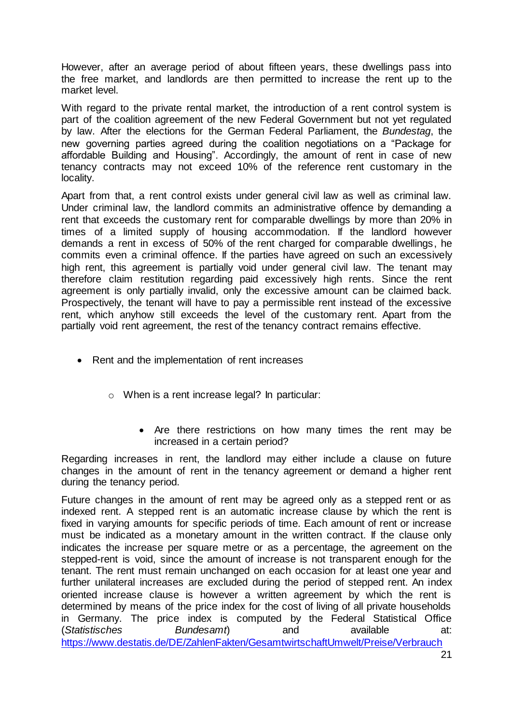However, after an average period of about fifteen years, these dwellings pass into the free market, and landlords are then permitted to increase the rent up to the market level.

With regard to the private rental market, the introduction of a rent control system is part of the coalition agreement of the new Federal Government but not yet regulated by law. After the elections for the German Federal Parliament, the *Bundestag*, the new governing parties agreed during the coalition negotiations on a "Package for affordable Building and Housing". Accordingly, the amount of rent in case of new tenancy contracts may not exceed 10% of the reference rent customary in the locality.

Apart from that, a rent control exists under general civil law as well as criminal law. Under criminal law, the landlord commits an administrative offence by demanding a rent that exceeds the customary rent for comparable dwellings by more than 20% in times of a limited supply of housing accommodation. If the landlord however demands a rent in excess of 50% of the rent charged for comparable dwellings, he commits even a criminal offence. If the parties have agreed on such an excessively high rent, this agreement is partially void under general civil law. The tenant may therefore claim restitution regarding paid excessively high rents. Since the rent agreement is only partially invalid, only the excessive amount can be claimed back. Prospectively, the tenant will have to pay a permissible rent instead of the excessive rent, which anyhow still exceeds the level of the customary rent. Apart from the partially void rent agreement, the rest of the tenancy contract remains effective.

- Rent and the implementation of rent increases
	- o When is a rent increase legal? In particular:
		- Are there restrictions on how many times the rent may be increased in a certain period?

Regarding increases in rent, the landlord may either include a clause on future changes in the amount of rent in the tenancy agreement or demand a higher rent during the tenancy period.

Future changes in the amount of rent may be agreed only as a stepped rent or as indexed rent. A stepped rent is an automatic increase clause by which the rent is fixed in varying amounts for specific periods of time. Each amount of rent or increase must be indicated as a monetary amount in the written contract. If the clause only indicates the increase per square metre or as a percentage, the agreement on the stepped-rent is void, since the amount of increase is not transparent enough for the tenant. The rent must remain unchanged on each occasion for at least one year and further unilateral increases are excluded during the period of stepped rent. An index oriented increase clause is however a written agreement by which the rent is determined by means of the price index for the cost of living of all private households in Germany. The price index is computed by the Federal Statistical Office (*Statistisches Bundesamt*) and available at: [https://www.destatis.de/DE/ZahlenFakten/GesamtwirtschaftUmwelt/Preise/Verbrauch](https://www.destatis.de/DE/ZahlenFakten/GesamtwirtschaftUmwelt/Preise/Verbraucherpreisindizes/Tabellen_/VerbraucherpreiseKategorien.html)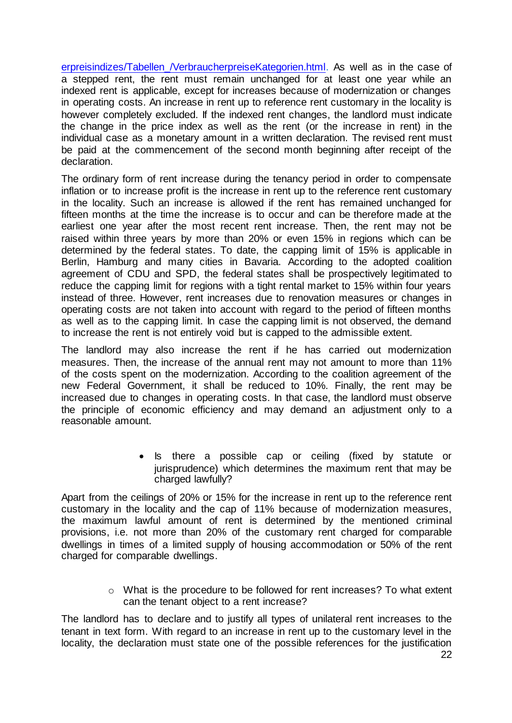erpreisindizes/Tabellen /VerbraucherpreiseKategorien.html. As well as in the case of a stepped rent, the rent must remain unchanged for at least one year while an indexed rent is applicable, except for increases because of modernization or changes in operating costs. An increase in rent up to reference rent customary in the locality is however completely excluded. If the indexed rent changes, the landlord must indicate the change in the price index as well as the rent (or the increase in rent) in the individual case as a monetary amount in a written declaration. The revised rent must be paid at the commencement of the second month beginning after receipt of the declaration.

The ordinary form of rent increase during the tenancy period in order to compensate inflation or to increase profit is the increase in rent up to the reference rent customary in the locality. Such an increase is allowed if the rent has remained unchanged for fifteen months at the time the increase is to occur and can be therefore made at the earliest one year after the most recent rent increase. Then, the rent may not be raised within three years by more than 20% or even 15% in regions which can be determined by the federal states. To date, the capping limit of 15% is applicable in Berlin, Hamburg and many cities in Bavaria. According to the adopted coalition agreement of CDU and SPD, the federal states shall be prospectively legitimated to reduce the capping limit for regions with a tight rental market to 15% within four years instead of three. However, rent increases due to renovation measures or changes in operating costs are not taken into account with regard to the period of fifteen months as well as to the capping limit. In case the capping limit is not observed, the demand to increase the rent is not entirely void but is capped to the admissible extent.

The landlord may also increase the rent if he has carried out modernization measures. Then, the increase of the annual rent may not amount to more than 11% of the costs spent on the modernization. According to the coalition agreement of the new Federal Government, it shall be reduced to 10%. Finally, the rent may be increased due to changes in operating costs. In that case, the landlord must observe the principle of economic efficiency and may demand an adjustment only to a reasonable amount.

> • Is there a possible cap or ceiling (fixed by statute or jurisprudence) which determines the maximum rent that may be charged lawfully?

Apart from the ceilings of 20% or 15% for the increase in rent up to the reference rent customary in the locality and the cap of 11% because of modernization measures, the maximum lawful amount of rent is determined by the mentioned criminal provisions, i.e. not more than 20% of the customary rent charged for comparable dwellings in times of a limited supply of housing accommodation or 50% of the rent charged for comparable dwellings.

> o What is the procedure to be followed for rent increases? To what extent can the tenant object to a rent increase?

The landlord has to declare and to justify all types of unilateral rent increases to the tenant in text form. With regard to an increase in rent up to the customary level in the locality, the declaration must state one of the possible references for the justification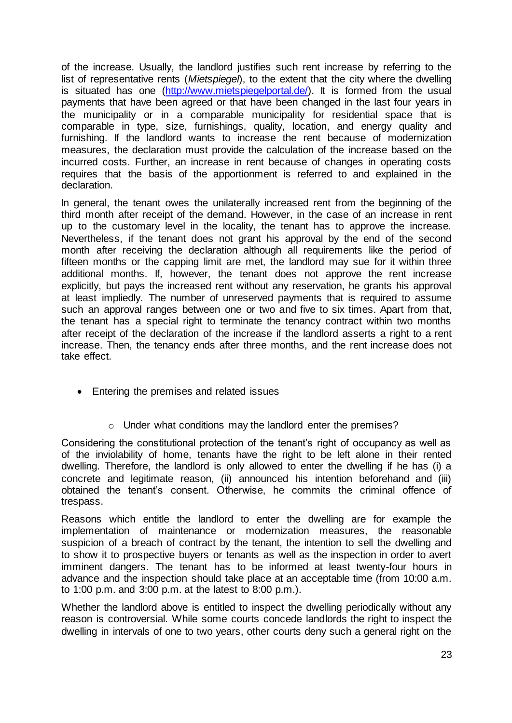of the increase. Usually, the landlord justifies such rent increase by referring to the list of representative rents (*Mietspiegel*), to the extent that the city where the dwelling is situated has one [\(http://www.mietspiegelportal.de/\)](http://www.mietspiegelportal.de/). It is formed from the usual payments that have been agreed or that have been changed in the last four years in the municipality or in a comparable municipality for residential space that is comparable in type, size, furnishings, quality, location, and energy quality and furnishing. If the landlord wants to increase the rent because of modernization measures, the declaration must provide the calculation of the increase based on the incurred costs. Further, an increase in rent because of changes in operating costs requires that the basis of the apportionment is referred to and explained in the declaration.

In general, the tenant owes the unilaterally increased rent from the beginning of the third month after receipt of the demand. However, in the case of an increase in rent up to the customary level in the locality, the tenant has to approve the increase. Nevertheless, if the tenant does not grant his approval by the end of the second month after receiving the declaration although all requirements like the period of fifteen months or the capping limit are met, the landlord may sue for it within three additional months. If, however, the tenant does not approve the rent increase explicitly, but pays the increased rent without any reservation, he grants his approval at least impliedly. The number of unreserved payments that is required to assume such an approval ranges between one or two and five to six times. Apart from that, the tenant has a special right to terminate the tenancy contract within two months after receipt of the declaration of the increase if the landlord asserts a right to a rent increase. Then, the tenancy ends after three months, and the rent increase does not take effect.

- Entering the premises and related issues
	- o Under what conditions may the landlord enter the premises?

Considering the constitutional protection of the tenant's right of occupancy as well as of the inviolability of home, tenants have the right to be left alone in their rented dwelling. Therefore, the landlord is only allowed to enter the dwelling if he has (i) a concrete and legitimate reason, (ii) announced his intention beforehand and (iii) obtained the tenant's consent. Otherwise, he commits the criminal offence of trespass.

Reasons which entitle the landlord to enter the dwelling are for example the implementation of maintenance or modernization measures, the reasonable suspicion of a breach of contract by the tenant, the intention to sell the dwelling and to show it to prospective buyers or tenants as well as the inspection in order to avert imminent dangers. The tenant has to be informed at least twenty-four hours in advance and the inspection should take place at an acceptable time (from 10:00 a.m. to 1:00 p.m. and 3:00 p.m. at the latest to 8:00 p.m.).

Whether the landlord above is entitled to inspect the dwelling periodically without any reason is controversial. While some courts concede landlords the right to inspect the dwelling in intervals of one to two years, other courts deny such a general right on the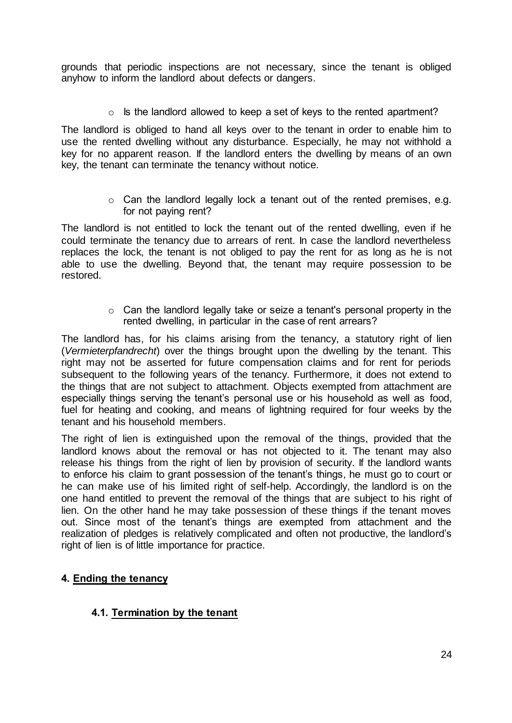grounds that periodic inspections are not necessary, since the tenant is obliged anyhow to inform the landlord about defects or dangers.

 $\circ$  Is the landlord allowed to keep a set of keys to the rented apartment?

The landlord is obliged to hand all keys over to the tenant in order to enable him to use the rented dwelling without any disturbance. Especially, he may not withhold a key for no apparent reason. If the landlord enters the dwelling by means of an own key, the tenant can terminate the tenancy without notice.

> o Can the landlord legally lock a tenant out of the rented premises, e.g. for not paying rent?

The landlord is not entitled to lock the tenant out of the rented dwelling, even if he could terminate the tenancy due to arrears of rent. In case the landlord nevertheless replaces the lock, the tenant is not obliged to pay the rent for as long as he is not able to use the dwelling. Beyond that, the tenant may require possession to be restored.

> o Can the landlord legally take or seize a tenant's personal property in the rented dwelling, in particular in the case of rent arrears?

The landlord has, for his claims arising from the tenancy, a statutory right of lien (*Vermieterpfandrecht*) over the things brought upon the dwelling by the tenant. This right may not be asserted for future compensation claims and for rent for periods subsequent to the following years of the tenancy. Furthermore, it does not extend to the things that are not subject to attachment. Objects exempted from attachment are especially things serving the tenant's personal use or his household as well as food, fuel for heating and cooking, and means of lightning required for four weeks by the tenant and his household members.

The right of lien is extinguished upon the removal of the things, provided that the landlord knows about the removal or has not objected to it. The tenant may also release his things from the right of lien by provision of security. If the landlord wants to enforce his claim to grant possession of the tenant's things, he must go to court or he can make use of his limited right of self-help. Accordingly, the landlord is on the one hand entitled to prevent the removal of the things that are subject to his right of lien. On the other hand he may take possession of these things if the tenant moves out. Since most of the tenant's things are exempted from attachment and the realization of pledges is relatively complicated and often not productive, the landlord's right of lien is of little importance for practice.

# **4. Ending the tenancy**

# **4.1. Termination by the tenant**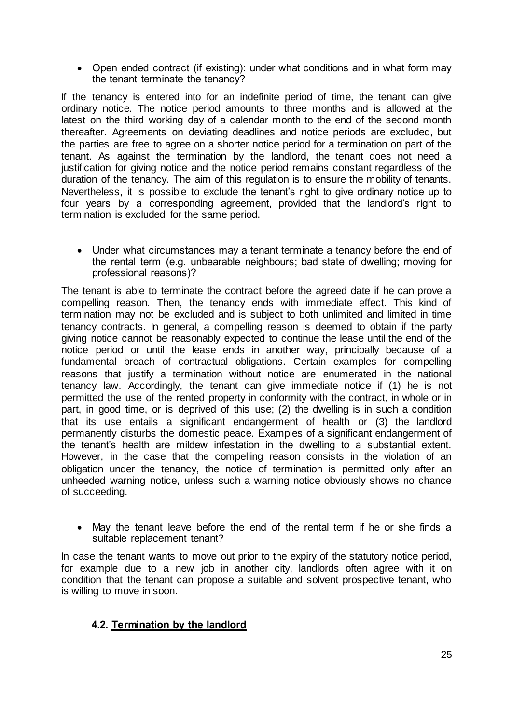• Open ended contract (if existing): under what conditions and in what form may the tenant terminate the tenancy?

If the tenancy is entered into for an indefinite period of time, the tenant can give ordinary notice. The notice period amounts to three months and is allowed at the latest on the third working day of a calendar month to the end of the second month thereafter. Agreements on deviating deadlines and notice periods are excluded, but the parties are free to agree on a shorter notice period for a termination on part of the tenant. As against the termination by the landlord, the tenant does not need a justification for giving notice and the notice period remains constant regardless of the duration of the tenancy. The aim of this regulation is to ensure the mobility of tenants. Nevertheless, it is possible to exclude the tenant's right to give ordinary notice up to four years by a corresponding agreement, provided that the landlord's right to termination is excluded for the same period.

 Under what circumstances may a tenant terminate a tenancy before the end of the rental term (e.g. unbearable neighbours; bad state of dwelling; moving for professional reasons)?

The tenant is able to terminate the contract before the agreed date if he can prove a compelling reason. Then, the tenancy ends with immediate effect. This kind of termination may not be excluded and is subject to both unlimited and limited in time tenancy contracts. In general, a compelling reason is deemed to obtain if the party giving notice cannot be reasonably expected to continue the lease until the end of the notice period or until the lease ends in another way, principally because of a fundamental breach of contractual obligations. Certain examples for compelling reasons that justify a termination without notice are enumerated in the national tenancy law. Accordingly, the tenant can give immediate notice if (1) he is not permitted the use of the rented property in conformity with the contract, in whole or in part, in good time, or is deprived of this use; (2) the dwelling is in such a condition that its use entails a significant endangerment of health or (3) the landlord permanently disturbs the domestic peace. Examples of a significant endangerment of the tenant's health are mildew infestation in the dwelling to a substantial extent. However, in the case that the compelling reason consists in the violation of an obligation under the tenancy, the notice of termination is permitted only after an unheeded warning notice, unless such a warning notice obviously shows no chance of succeeding.

 May the tenant leave before the end of the rental term if he or she finds a suitable replacement tenant?

In case the tenant wants to move out prior to the expiry of the statutory notice period, for example due to a new job in another city, landlords often agree with it on condition that the tenant can propose a suitable and solvent prospective tenant, who is willing to move in soon.

# **4.2. Termination by the landlord**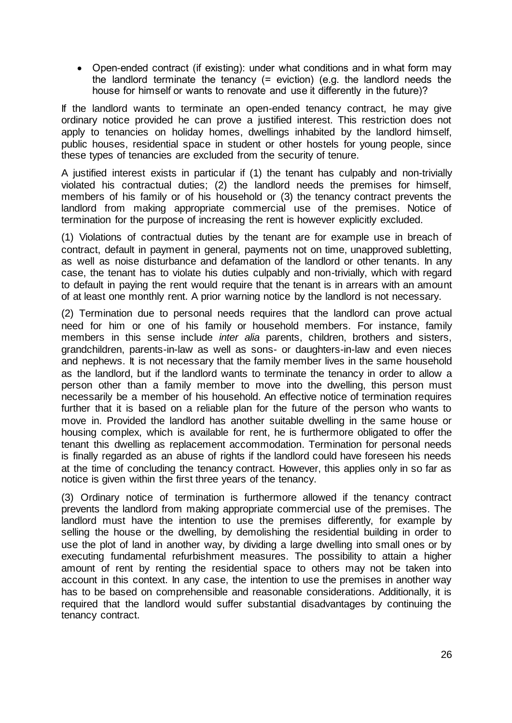• Open-ended contract (if existing): under what conditions and in what form may the landlord terminate the tenancy (= eviction) (e.g. the landlord needs the house for himself or wants to renovate and use it differently in the future)?

If the landlord wants to terminate an open-ended tenancy contract, he may give ordinary notice provided he can prove a justified interest. This restriction does not apply to tenancies on holiday homes, dwellings inhabited by the landlord himself, public houses, residential space in student or other hostels for young people, since these types of tenancies are excluded from the security of tenure.

A justified interest exists in particular if (1) the tenant has culpably and non-trivially violated his contractual duties; (2) the landlord needs the premises for himself, members of his family or of his household or (3) the tenancy contract prevents the landlord from making appropriate commercial use of the premises. Notice of termination for the purpose of increasing the rent is however explicitly excluded.

(1) Violations of contractual duties by the tenant are for example use in breach of contract, default in payment in general, payments not on time, unapproved subletting, as well as noise disturbance and defamation of the landlord or other tenants. In any case, the tenant has to violate his duties culpably and non-trivially, which with regard to default in paying the rent would require that the tenant is in arrears with an amount of at least one monthly rent. A prior warning notice by the landlord is not necessary.

(2) Termination due to personal needs requires that the landlord can prove actual need for him or one of his family or household members. For instance, family members in this sense include *inter alia* parents, children, brothers and sisters, grandchildren, parents-in-law as well as sons- or daughters-in-law and even nieces and nephews. It is not necessary that the family member lives in the same household as the landlord, but if the landlord wants to terminate the tenancy in order to allow a person other than a family member to move into the dwelling, this person must necessarily be a member of his household. An effective notice of termination requires further that it is based on a reliable plan for the future of the person who wants to move in. Provided the landlord has another suitable dwelling in the same house or housing complex, which is available for rent, he is furthermore obligated to offer the tenant this dwelling as replacement accommodation. Termination for personal needs is finally regarded as an abuse of rights if the landlord could have foreseen his needs at the time of concluding the tenancy contract. However, this applies only in so far as notice is given within the first three years of the tenancy.

(3) Ordinary notice of termination is furthermore allowed if the tenancy contract prevents the landlord from making appropriate commercial use of the premises. The landlord must have the intention to use the premises differently, for example by selling the house or the dwelling, by demolishing the residential building in order to use the plot of land in another way, by dividing a large dwelling into small ones or by executing fundamental refurbishment measures. The possibility to attain a higher amount of rent by renting the residential space to others may not be taken into account in this context. In any case, the intention to use the premises in another way has to be based on comprehensible and reasonable considerations. Additionally, it is required that the landlord would suffer substantial disadvantages by continuing the tenancy contract.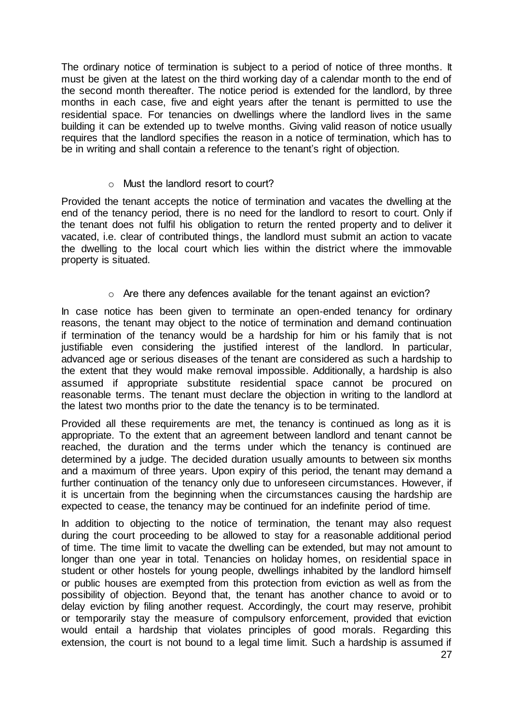The ordinary notice of termination is subject to a period of notice of three months. It must be given at the latest on the third working day of a calendar month to the end of the second month thereafter. The notice period is extended for the landlord, by three months in each case, five and eight years after the tenant is permitted to use the residential space. For tenancies on dwellings where the landlord lives in the same building it can be extended up to twelve months. Giving valid reason of notice usually requires that the landlord specifies the reason in a notice of termination, which has to be in writing and shall contain a reference to the tenant's right of objection.

#### o Must the landlord resort to court?

Provided the tenant accepts the notice of termination and vacates the dwelling at the end of the tenancy period, there is no need for the landlord to resort to court. Only if the tenant does not fulfil his obligation to return the rented property and to deliver it vacated, i.e. clear of contributed things, the landlord must submit an action to vacate the dwelling to the local court which lies within the district where the immovable property is situated.

#### $\circ$  Are there any defences available for the tenant against an eviction?

In case notice has been given to terminate an open-ended tenancy for ordinary reasons, the tenant may object to the notice of termination and demand continuation if termination of the tenancy would be a hardship for him or his family that is not justifiable even considering the justified interest of the landlord. In particular, advanced age or serious diseases of the tenant are considered as such a hardship to the extent that they would make removal impossible. Additionally, a hardship is also assumed if appropriate substitute residential space cannot be procured on reasonable terms. The tenant must declare the objection in writing to the landlord at the latest two months prior to the date the tenancy is to be terminated.

Provided all these requirements are met, the tenancy is continued as long as it is appropriate. To the extent that an agreement between landlord and tenant cannot be reached, the duration and the terms under which the tenancy is continued are determined by a judge. The decided duration usually amounts to between six months and a maximum of three years. Upon expiry of this period, the tenant may demand a further continuation of the tenancy only due to unforeseen circumstances. However, if it is uncertain from the beginning when the circumstances causing the hardship are expected to cease, the tenancy may be continued for an indefinite period of time.

In addition to objecting to the notice of termination, the tenant may also request during the court proceeding to be allowed to stay for a reasonable additional period of time. The time limit to vacate the dwelling can be extended, but may not amount to longer than one year in total. Tenancies on holiday homes, on residential space in student or other hostels for young people, dwellings inhabited by the landlord himself or public houses are exempted from this protection from eviction as well as from the possibility of objection. Beyond that, the tenant has another chance to avoid or to delay eviction by filing another request. Accordingly, the court may reserve, prohibit or temporarily stay the measure of compulsory enforcement, provided that eviction would entail a hardship that violates principles of good morals. Regarding this extension, the court is not bound to a legal time limit. Such a hardship is assumed if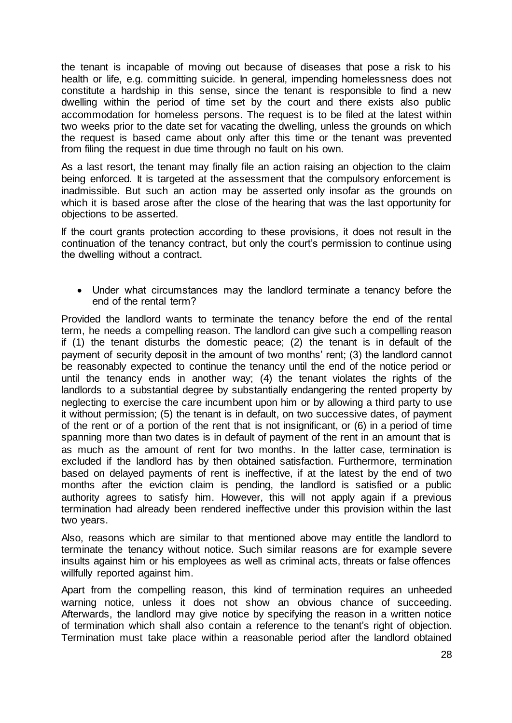the tenant is incapable of moving out because of diseases that pose a risk to his health or life, e.g. committing suicide. In general, impending homelessness does not constitute a hardship in this sense, since the tenant is responsible to find a new dwelling within the period of time set by the court and there exists also public accommodation for homeless persons. The request is to be filed at the latest within two weeks prior to the date set for vacating the dwelling, unless the grounds on which the request is based came about only after this time or the tenant was prevented from filing the request in due time through no fault on his own.

As a last resort, the tenant may finally file an action raising an objection to the claim being enforced. It is targeted at the assessment that the compulsory enforcement is inadmissible. But such an action may be asserted only insofar as the grounds on which it is based arose after the close of the hearing that was the last opportunity for objections to be asserted.

If the court grants protection according to these provisions, it does not result in the continuation of the tenancy contract, but only the court's permission to continue using the dwelling without a contract.

 Under what circumstances may the landlord terminate a tenancy before the end of the rental term?

Provided the landlord wants to terminate the tenancy before the end of the rental term, he needs a compelling reason. The landlord can give such a compelling reason if (1) the tenant disturbs the domestic peace; (2) the tenant is in default of the payment of security deposit in the amount of two months' rent; (3) the landlord cannot be reasonably expected to continue the tenancy until the end of the notice period or until the tenancy ends in another way; (4) the tenant violates the rights of the landlords to a substantial degree by substantially endangering the rented property by neglecting to exercise the care incumbent upon him or by allowing a third party to use it without permission; (5) the tenant is in default, on two successive dates, of payment of the rent or of a portion of the rent that is not insignificant, or (6) in a period of time spanning more than two dates is in default of payment of the rent in an amount that is as much as the amount of rent for two months. In the latter case, termination is excluded if the landlord has by then obtained satisfaction. Furthermore, termination based on delayed payments of rent is ineffective, if at the latest by the end of two months after the eviction claim is pending, the landlord is satisfied or a public authority agrees to satisfy him. However, this will not apply again if a previous termination had already been rendered ineffective under this provision within the last two years.

Also, reasons which are similar to that mentioned above may entitle the landlord to terminate the tenancy without notice. Such similar reasons are for example severe insults against him or his employees as well as criminal acts, threats or false offences willfully reported against him.

Apart from the compelling reason, this kind of termination requires an unheeded warning notice, unless it does not show an obvious chance of succeeding. Afterwards, the landlord may give notice by specifying the reason in a written notice of termination which shall also contain a reference to the tenant's right of objection. Termination must take place within a reasonable period after the landlord obtained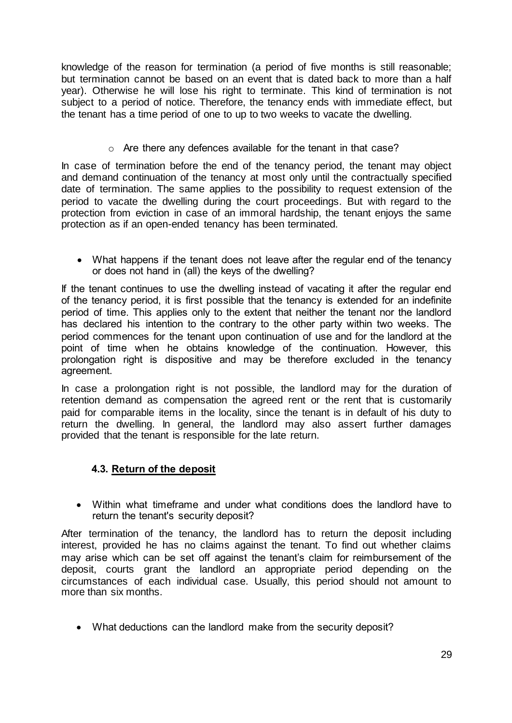knowledge of the reason for termination (a period of five months is still reasonable; but termination cannot be based on an event that is dated back to more than a half year). Otherwise he will lose his right to terminate. This kind of termination is not subject to a period of notice. Therefore, the tenancy ends with immediate effect, but the tenant has a time period of one to up to two weeks to vacate the dwelling.

o Are there any defences available for the tenant in that case?

In case of termination before the end of the tenancy period, the tenant may object and demand continuation of the tenancy at most only until the contractually specified date of termination. The same applies to the possibility to request extension of the period to vacate the dwelling during the court proceedings. But with regard to the protection from eviction in case of an immoral hardship, the tenant enjoys the same protection as if an open-ended tenancy has been terminated.

 What happens if the tenant does not leave after the regular end of the tenancy or does not hand in (all) the keys of the dwelling?

If the tenant continues to use the dwelling instead of vacating it after the regular end of the tenancy period, it is first possible that the tenancy is extended for an indefinite period of time. This applies only to the extent that neither the tenant nor the landlord has declared his intention to the contrary to the other party within two weeks. The period commences for the tenant upon continuation of use and for the landlord at the point of time when he obtains knowledge of the continuation. However, this prolongation right is dispositive and may be therefore excluded in the tenancy agreement.

In case a prolongation right is not possible, the landlord may for the duration of retention demand as compensation the agreed rent or the rent that is customarily paid for comparable items in the locality, since the tenant is in default of his duty to return the dwelling. In general, the landlord may also assert further damages provided that the tenant is responsible for the late return.

# **4.3. Return of the deposit**

 Within what timeframe and under what conditions does the landlord have to return the tenant's security deposit?

After termination of the tenancy, the landlord has to return the deposit including interest, provided he has no claims against the tenant. To find out whether claims may arise which can be set off against the tenant's claim for reimbursement of the deposit, courts grant the landlord an appropriate period depending on the circumstances of each individual case. Usually, this period should not amount to more than six months.

What deductions can the landlord make from the security deposit?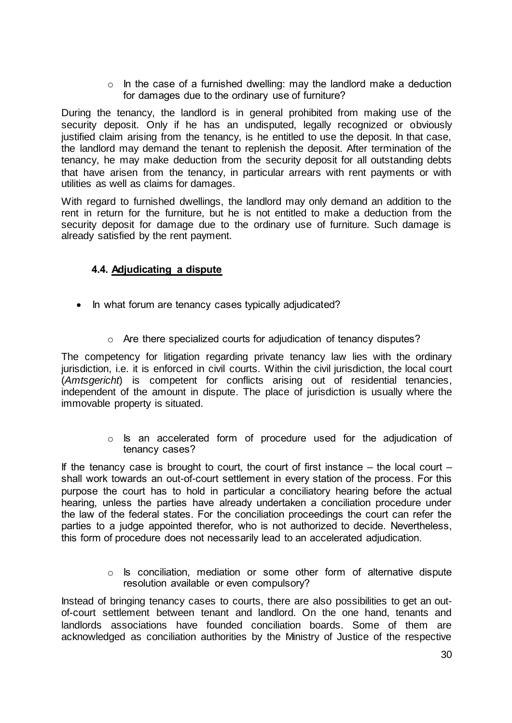$\circ$  In the case of a furnished dwelling: may the landlord make a deduction for damages due to the ordinary use of furniture?

During the tenancy, the landlord is in general prohibited from making use of the security deposit. Only if he has an undisputed, legally recognized or obviously justified claim arising from the tenancy, is he entitled to use the deposit. In that case, the landlord may demand the tenant to replenish the deposit. After termination of the tenancy, he may make deduction from the security deposit for all outstanding debts that have arisen from the tenancy, in particular arrears with rent payments or with utilities as well as claims for damages.

With regard to furnished dwellings, the landlord may only demand an addition to the rent in return for the furniture, but he is not entitled to make a deduction from the security deposit for damage due to the ordinary use of furniture. Such damage is already satisfied by the rent payment.

# **4.4. Adjudicating a dispute**

- In what forum are tenancy cases typically adjudicated?
	- o Are there specialized courts for adjudication of tenancy disputes?

The competency for litigation regarding private tenancy law lies with the ordinary jurisdiction, i.e. it is enforced in civil courts. Within the civil jurisdiction, the local court (*Amtsgericht*) is competent for conflicts arising out of residential tenancies, independent of the amount in dispute. The place of jurisdiction is usually where the immovable property is situated.

> o Is an accelerated form of procedure used for the adjudication of tenancy cases?

If the tenancy case is brought to court, the court of first instance  $-$  the local court  $$ shall work towards an out-of-court settlement in every station of the process. For this purpose the court has to hold in particular a conciliatory hearing before the actual hearing, unless the parties have already undertaken a conciliation procedure under the law of the federal states. For the conciliation proceedings the court can refer the parties to a judge appointed therefor, who is not authorized to decide. Nevertheless, this form of procedure does not necessarily lead to an accelerated adjudication.

> o Is conciliation, mediation or some other form of alternative dispute resolution available or even compulsory?

Instead of bringing tenancy cases to courts, there are also possibilities to get an outof-court settlement between tenant and landlord. On the one hand, tenants and landlords associations have founded conciliation boards. Some of them are acknowledged as conciliation authorities by the Ministry of Justice of the respective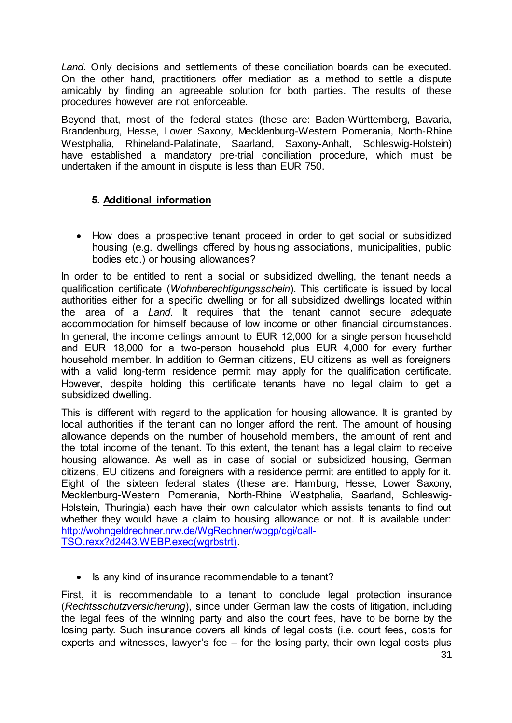*Land*. Only decisions and settlements of these conciliation boards can be executed. On the other hand, practitioners offer mediation as a method to settle a dispute amicably by finding an agreeable solution for both parties. The results of these procedures however are not enforceable.

Beyond that, most of the federal states (these are: Baden-Württemberg, Bavaria, Brandenburg, Hesse, Lower Saxony, Mecklenburg-Western Pomerania, North-Rhine Westphalia, Rhineland-Palatinate, Saarland, Saxony-Anhalt, Schleswig-Holstein) have established a mandatory pre-trial conciliation procedure, which must be undertaken if the amount in dispute is less than EUR 750.

#### **5. Additional information**

• How does a prospective tenant proceed in order to get social or subsidized housing (e.g. dwellings offered by housing associations, municipalities, public bodies etc.) or housing allowances?

In order to be entitled to rent a social or subsidized dwelling, the tenant needs a qualification certificate (*Wohnberechtigungsschein*). This certificate is issued by local authorities either for a specific dwelling or for all subsidized dwellings located within the area of a *Land*. It requires that the tenant cannot secure adequate accommodation for himself because of low income or other financial circumstances. In general, the income ceilings amount to EUR 12,000 for a single person household and EUR 18,000 for a two-person household plus EUR 4,000 for every further household member. In addition to German citizens, EU citizens as well as foreigners with a valid long-term residence permit may apply for the qualification certificate. However, despite holding this certificate tenants have no legal claim to get a subsidized dwelling.

This is different with regard to the application for housing allowance. It is granted by local authorities if the tenant can no longer afford the rent. The amount of housing allowance depends on the number of household members, the amount of rent and the total income of the tenant. To this extent, the tenant has a legal claim to receive housing allowance. As well as in case of social or subsidized housing, German citizens, EU citizens and foreigners with a residence permit are entitled to apply for it. Eight of the sixteen federal states (these are: Hamburg, Hesse, Lower Saxony, Mecklenburg-Western Pomerania, North-Rhine Westphalia, Saarland, Schleswig-Holstein, Thuringia) each have their own calculator which assists tenants to find out whether they would have a claim to housing allowance or not. It is available under: [http://wohngeldrechner.nrw.de/WgRechner/wogp/cgi/call-](http://wohngeldrechner.nrw.de/WgRechner/wogp/cgi/call-TSO.rexx?d2443.WEBP.exec(wgrbstrt))[TSO.rexx?d2443.WEBP.exec\(wgrbstrt\).](http://wohngeldrechner.nrw.de/WgRechner/wogp/cgi/call-TSO.rexx?d2443.WEBP.exec(wgrbstrt))

• Is any kind of insurance recommendable to a tenant?

First, it is recommendable to a tenant to conclude legal protection insurance (*Rechtsschutzversicherung*), since under German law the costs of litigation, including the legal fees of the winning party and also the court fees, have to be borne by the losing party. Such insurance covers all kinds of legal costs (i.e. court fees, costs for experts and witnesses, lawyer's fee – for the losing party, their own legal costs plus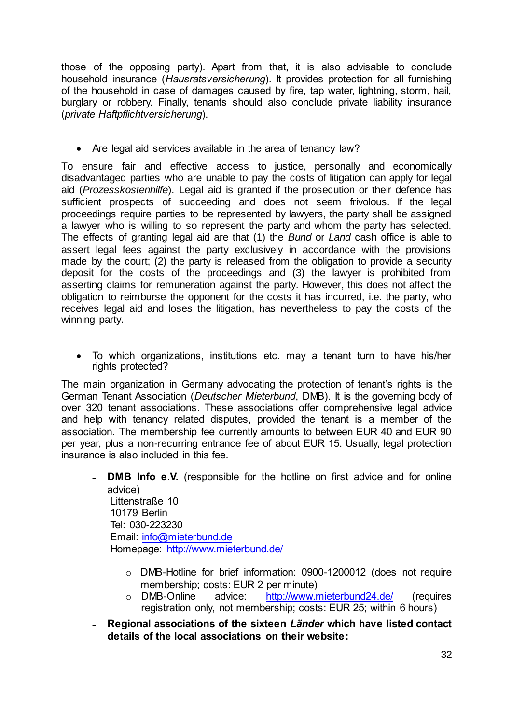those of the opposing party). Apart from that, it is also advisable to conclude household insurance (*Hausratsversicherung*). It provides protection for all furnishing of the household in case of damages caused by fire, tap water, lightning, storm, hail, burglary or robbery. Finally, tenants should also conclude private liability insurance (*private Haftpflichtversicherung*).

• Are legal aid services available in the area of tenancy law?

To ensure fair and effective access to justice, personally and economically disadvantaged parties who are unable to pay the costs of litigation can apply for legal aid (*Prozesskostenhilfe*). Legal aid is granted if the prosecution or their defence has sufficient prospects of succeeding and does not seem frivolous. If the legal proceedings require parties to be represented by lawyers, the party shall be assigned a lawyer who is willing to so represent the party and whom the party has selected. The effects of granting legal aid are that (1) the *Bund* or *Land* cash office is able to assert legal fees against the party exclusively in accordance with the provisions made by the court; (2) the party is released from the obligation to provide a security deposit for the costs of the proceedings and (3) the lawyer is prohibited from asserting claims for remuneration against the party. However, this does not affect the obligation to reimburse the opponent for the costs it has incurred, i.e. the party, who receives legal aid and loses the litigation, has nevertheless to pay the costs of the winning party.

 To which organizations, institutions etc. may a tenant turn to have his/her rights protected?

The main organization in Germany advocating the protection of tenant's rights is the German Tenant Association (*Deutscher Mieterbund*, DMB). It is the governing body of over 320 tenant associations. These associations offer comprehensive legal advice and help with tenancy related disputes, provided the tenant is a member of the association. The membership fee currently amounts to between EUR 40 and EUR 90 per year, plus a non-recurring entrance fee of about EUR 15. Usually, legal protection insurance is also included in this fee.

- **DMB Info e.V.** (responsible for the hotline on first advice and for online advice) Littenstraße 10 10179 Berlin Tel: 030-223230 Email: [info@mieterbund.de](mailto:info@mieterbund.de) Homepage:<http://www.mieterbund.de/>
	- o DMB-Hotline for brief information: 0900-1200012 (does not require membership; costs: EUR 2 per minute)
	- o DMB-Online advice: <http://www.mieterbund24.de/> (requires registration only, not membership; costs: EUR 25; within 6 hours)
- ˗ **Regional associations of the sixteen** *Länder* **which have listed contact details of the local associations on their website:**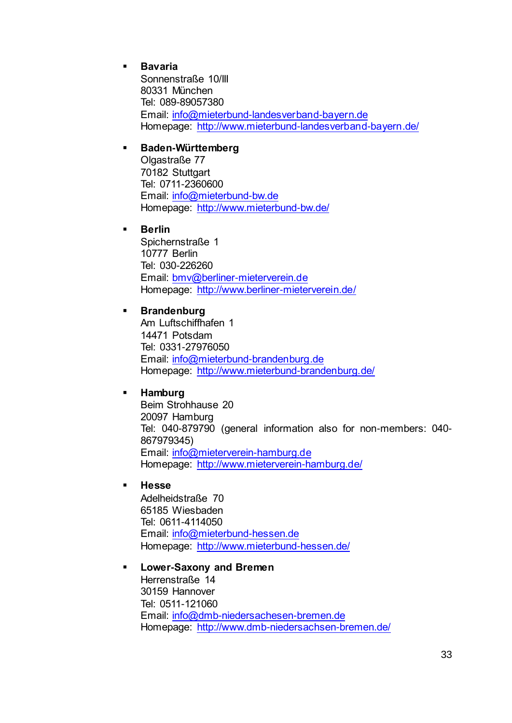#### **Bavaria**

Sonnenstraße 10/III 80331 München Tel: 089-89057380 Email: [info@mieterbund-landesverband-bayern.de](mailto:info@mieterbund-landesverband-bayern.de) Homepage:<http://www.mieterbund-landesverband-bayern.de/>

#### **Baden-Württemberg**

Olgastraße 77 70182 Stuttgart Tel: 0711-2360600 Email: [info@mieterbund-bw.de](mailto:info@mieterbund-bw.de) Homepage:<http://www.mieterbund-bw.de/>

#### **Berlin**

Spichernstraße 1 10777 Berlin Tel: 030-226260 Email: [bmv@berliner-mieterverein.de](mailto:bmv@berliner-mieterverein.de) Homepage:<http://www.berliner-mieterverein.de/>

#### **Brandenburg**

Am Luftschiffhafen 1 14471 Potsdam Tel: 0331-27976050 Email: [info@mieterbund-brandenburg.de](mailto:info@mieterbund-brandenburg.de) Homepage:<http://www.mieterbund-brandenburg.de/>

#### **Hamburg**

Beim Strohhause 20 20097 Hamburg Tel: 040-879790 (general information also for non-members: 040- 867979345) Email: [info@mieterverein-hamburg.de](mailto:info@mieterverein-hamburg.de) Homepage:<http://www.mieterverein-hamburg.de/>

#### **Hesse**

Adelheidstraße 70 65185 Wiesbaden Tel: 0611-4114050 Email: [info@mieterbund-hessen.de](mailto:info@mieterbund-hessen.de) Homepage:<http://www.mieterbund-hessen.de/>

#### **Lower-Saxony and Bremen**

Herrenstraße 14 30159 Hannover Tel: 0511-121060 Email: [info@dmb-niedersachesen-bremen.de](mailto:info@dmb-niedersachesen-bremen.de) Homepage: http://www.dmb-niedersachsen-bremen.de/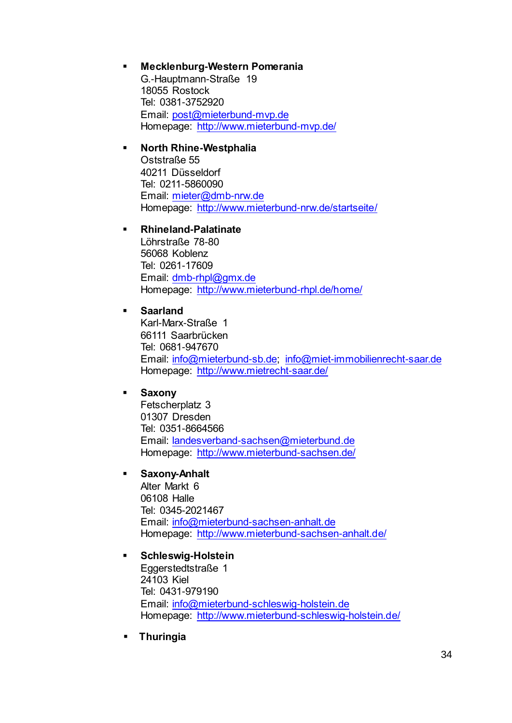#### **Mecklenburg-Western Pomerania**

G.-Hauptmann-Straße 19 18055 Rostock Tel: 0381-3752920 Email: [post@mieterbund-mvp.de](mailto:post@mieterbund-mvp.de) Homepage:<http://www.mieterbund-mvp.de/>

#### **North Rhine-Westphalia**

Oststraße 55 40211 Düsseldorf Tel: 0211-5860090 Email: [mieter@dmb-nrw.de](mailto:mieter@dmb-nrw.de) Homepage:<http://www.mieterbund-nrw.de/startseite/>

#### **Rhineland-Palatinate**

Löhrstraße 78-80 56068 Koblenz Tel: 0261-17609 Email: [dmb-rhpl@gmx.de](mailto:dmb-rhpl@gmx.de) Homepage:<http://www.mieterbund-rhpl.de/home/>

#### **Saarland**

Karl-Marx-Straße 1 66111 Saarbrücken Tel: 0681-947670 Email: [info@mieterbund-sb.de;](mailto:info@mieterbund-sb.de) [info@miet-immobilienrecht-saar.de](mailto:info@miet-immobilienrecht-saar.de) Homepage:<http://www.mietrecht-saar.de/>

#### **Saxony**

Fetscherplatz 3 01307 Dresden Tel: 0351-8664566 Email: [landesverband-sachsen@mieterbund.de](mailto:landesverband-sachsen@mieterbund.de) Homepage:<http://www.mieterbund-sachsen.de/>

#### **Saxony-Anhalt**

Alter Markt 6 06108 Halle Tel: 0345-2021467 Email: [info@mieterbund-sachsen-anhalt.de](mailto:info@mieterbund-sachsen-anhalt.de) Homepage:<http://www.mieterbund-sachsen-anhalt.de/>

#### **Schleswig-Holstein**

Eggerstedtstraße 1 24103 Kiel Tel: 0431-979190 Email: [info@mieterbund-schleswig-holstein.de](mailto:info@mieterbund-schleswig-holstein.de) Homepage:<http://www.mieterbund-schleswig-holstein.de/>

**Thuringia**